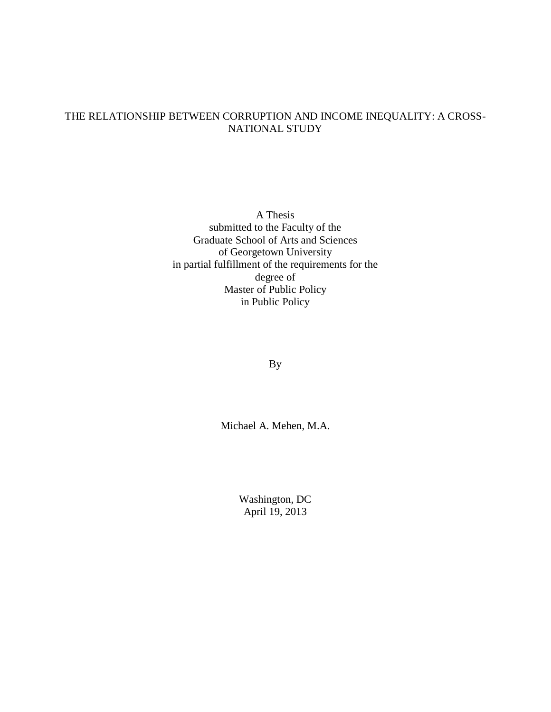## THE RELATIONSHIP BETWEEN CORRUPTION AND INCOME INEQUALITY: A CROSS-NATIONAL STUDY

A Thesis submitted to the Faculty of the Graduate School of Arts and Sciences of Georgetown University in partial fulfillment of the requirements for the degree of Master of Public Policy in Public Policy

By

Michael A. Mehen, M.A.

Washington, DC April 19, 2013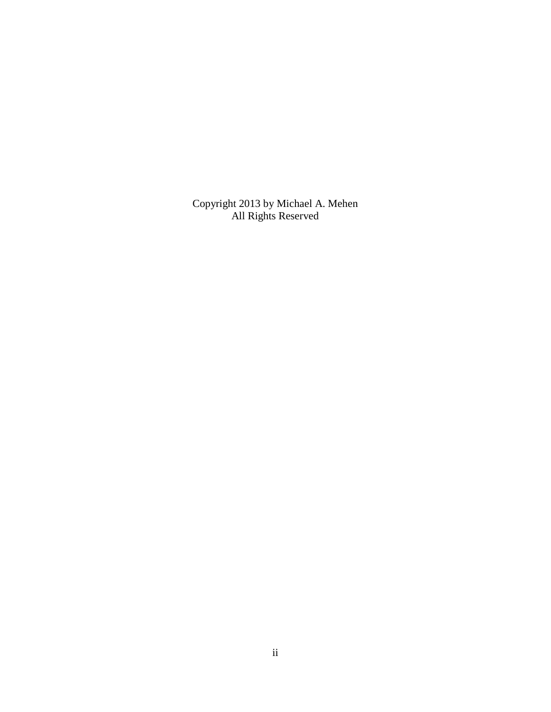Copyright 2013 by Michael A. Mehen All Rights Reserved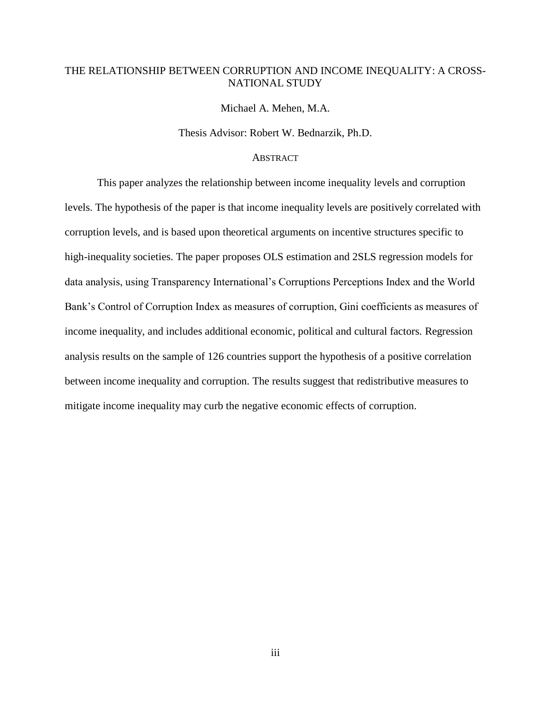### THE RELATIONSHIP BETWEEN CORRUPTION AND INCOME INEQUALITY: A CROSS-NATIONAL STUDY

Michael A. Mehen, M.A.

Thesis Advisor: Robert W. Bednarzik, Ph.D.

#### **ABSTRACT**

This paper analyzes the relationship between income inequality levels and corruption levels. The hypothesis of the paper is that income inequality levels are positively correlated with corruption levels, and is based upon theoretical arguments on incentive structures specific to high-inequality societies. The paper proposes OLS estimation and 2SLS regression models for data analysis, using Transparency International's Corruptions Perceptions Index and the World Bank's Control of Corruption Index as measures of corruption, Gini coefficients as measures of income inequality, and includes additional economic, political and cultural factors. Regression analysis results on the sample of 126 countries support the hypothesis of a positive correlation between income inequality and corruption. The results suggest that redistributive measures to mitigate income inequality may curb the negative economic effects of corruption.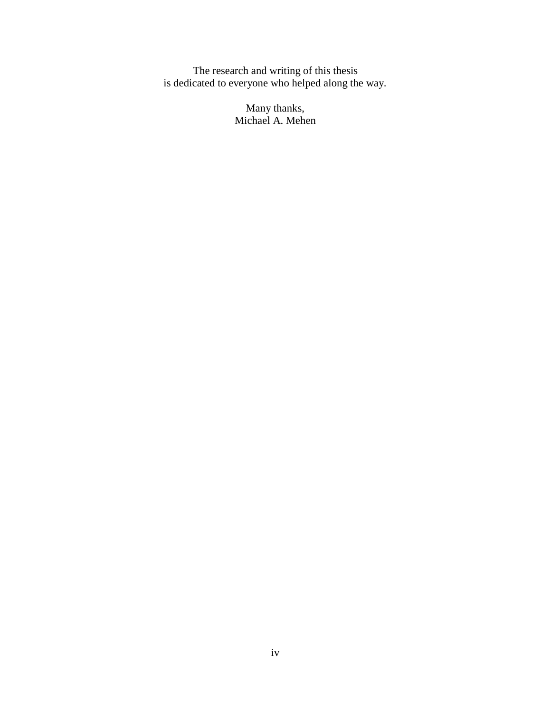The research and writing of this thesis is dedicated to everyone who helped along the way.

> Many thanks, Michael A. Mehen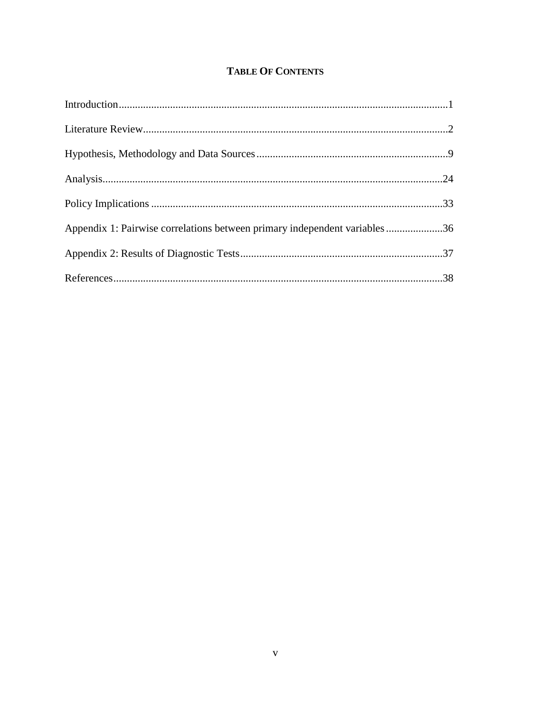# **TABLE OF CONTENTS**

| Appendix 1: Pairwise correlations between primary independent variables 36 |  |
|----------------------------------------------------------------------------|--|
|                                                                            |  |
|                                                                            |  |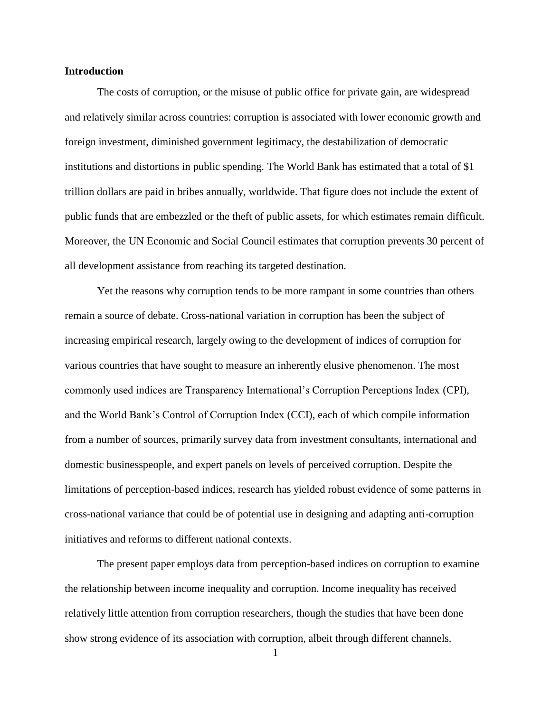#### **Introduction**

The costs of corruption, or the misuse of public office for private gain, are widespread and relatively similar across countries: corruption is associated with lower economic growth and foreign investment, diminished government legitimacy, the destabilization of democratic institutions and distortions in public spending. The World Bank has estimated that a total of \$1 trillion dollars are paid in bribes annually, worldwide. That figure does not include the extent of public funds that are embezzled or the theft of public assets, for which estimates remain difficult. Moreover, the UN Economic and Social Council estimates that corruption prevents 30 percent of all development assistance from reaching its targeted destination.

Yet the reasons why corruption tends to be more rampant in some countries than others remain a source of debate. Cross-national variation in corruption has been the subject of increasing empirical research, largely owing to the development of indices of corruption for various countries that have sought to measure an inherently elusive phenomenon. The most commonly used indices are Transparency International's Corruption Perceptions Index (CPI), and the World Bank's Control of Corruption Index (CCI), each of which compile information from a number of sources, primarily survey data from investment consultants, international and domestic businesspeople, and expert panels on levels of perceived corruption. Despite the limitations of perception-based indices, research has yielded robust evidence of some patterns in cross-national variance that could be of potential use in designing and adapting anti-corruption initiatives and reforms to different national contexts.

The present paper employs data from perception-based indices on corruption to examine the relationship between income inequality and corruption. Income inequality has received relatively little attention from corruption researchers, though the studies that have been done show strong evidence of its association with corruption, albeit through different channels.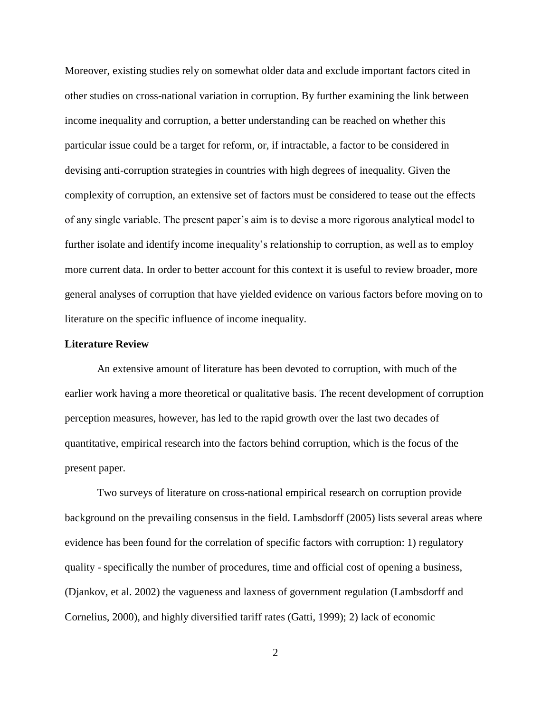Moreover, existing studies rely on somewhat older data and exclude important factors cited in other studies on cross-national variation in corruption. By further examining the link between income inequality and corruption, a better understanding can be reached on whether this particular issue could be a target for reform, or, if intractable, a factor to be considered in devising anti-corruption strategies in countries with high degrees of inequality. Given the complexity of corruption, an extensive set of factors must be considered to tease out the effects of any single variable. The present paper's aim is to devise a more rigorous analytical model to further isolate and identify income inequality's relationship to corruption, as well as to employ more current data. In order to better account for this context it is useful to review broader, more general analyses of corruption that have yielded evidence on various factors before moving on to literature on the specific influence of income inequality.

#### **Literature Review**

An extensive amount of literature has been devoted to corruption, with much of the earlier work having a more theoretical or qualitative basis. The recent development of corruption perception measures, however, has led to the rapid growth over the last two decades of quantitative, empirical research into the factors behind corruption, which is the focus of the present paper.

Two surveys of literature on cross-national empirical research on corruption provide background on the prevailing consensus in the field. Lambsdorff (2005) lists several areas where evidence has been found for the correlation of specific factors with corruption: 1) regulatory quality - specifically the number of procedures, time and official cost of opening a business, (Djankov, et al. 2002) the vagueness and laxness of government regulation (Lambsdorff and Cornelius, 2000), and highly diversified tariff rates (Gatti, 1999); 2) lack of economic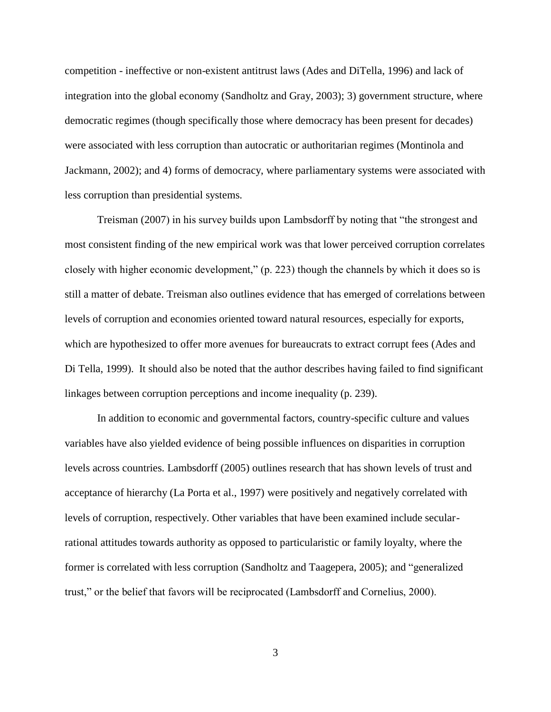competition - ineffective or non-existent antitrust laws (Ades and DiTella, 1996) and lack of integration into the global economy (Sandholtz and Gray, 2003); 3) government structure, where democratic regimes (though specifically those where democracy has been present for decades) were associated with less corruption than autocratic or authoritarian regimes (Montinola and Jackmann, 2002); and 4) forms of democracy, where parliamentary systems were associated with less corruption than presidential systems.

Treisman (2007) in his survey builds upon Lambsdorff by noting that "the strongest and most consistent finding of the new empirical work was that lower perceived corruption correlates closely with higher economic development," (p. 223) though the channels by which it does so is still a matter of debate. Treisman also outlines evidence that has emerged of correlations between levels of corruption and economies oriented toward natural resources, especially for exports, which are hypothesized to offer more avenues for bureaucrats to extract corrupt fees (Ades and Di Tella, 1999). It should also be noted that the author describes having failed to find significant linkages between corruption perceptions and income inequality (p. 239).

In addition to economic and governmental factors, country-specific culture and values variables have also yielded evidence of being possible influences on disparities in corruption levels across countries. Lambsdorff (2005) outlines research that has shown levels of trust and acceptance of hierarchy (La Porta et al., 1997) were positively and negatively correlated with levels of corruption, respectively. Other variables that have been examined include secularrational attitudes towards authority as opposed to particularistic or family loyalty, where the former is correlated with less corruption (Sandholtz and Taagepera, 2005); and "generalized trust," or the belief that favors will be reciprocated (Lambsdorff and Cornelius, 2000).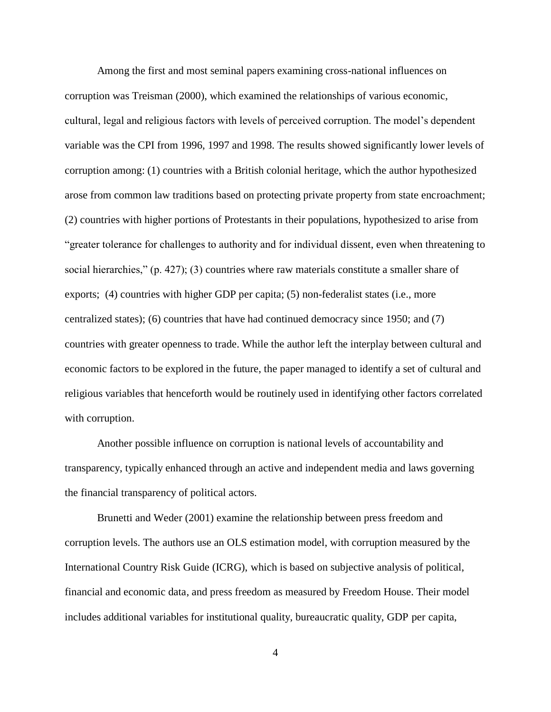Among the first and most seminal papers examining cross-national influences on corruption was Treisman (2000), which examined the relationships of various economic, cultural, legal and religious factors with levels of perceived corruption. The model's dependent variable was the CPI from 1996, 1997 and 1998. The results showed significantly lower levels of corruption among: (1) countries with a British colonial heritage, which the author hypothesized arose from common law traditions based on protecting private property from state encroachment; (2) countries with higher portions of Protestants in their populations, hypothesized to arise from "greater tolerance for challenges to authority and for individual dissent, even when threatening to social hierarchies," (p. 427); (3) countries where raw materials constitute a smaller share of exports; (4) countries with higher GDP per capita; (5) non-federalist states (i.e., more centralized states); (6) countries that have had continued democracy since 1950; and (7) countries with greater openness to trade. While the author left the interplay between cultural and economic factors to be explored in the future, the paper managed to identify a set of cultural and religious variables that henceforth would be routinely used in identifying other factors correlated with corruption.

Another possible influence on corruption is national levels of accountability and transparency, typically enhanced through an active and independent media and laws governing the financial transparency of political actors.

Brunetti and Weder (2001) examine the relationship between press freedom and corruption levels. The authors use an OLS estimation model, with corruption measured by the International Country Risk Guide (ICRG), which is based on subjective analysis of political, financial and economic data, and press freedom as measured by Freedom House. Their model includes additional variables for institutional quality, bureaucratic quality, GDP per capita,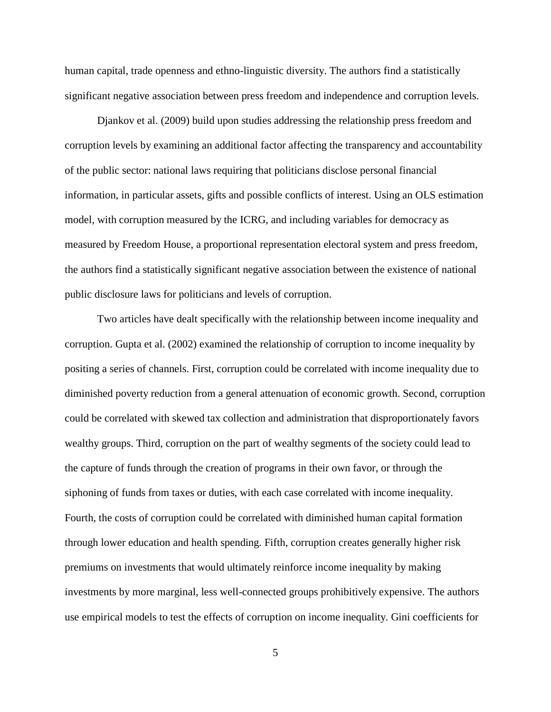human capital, trade openness and ethno-linguistic diversity. The authors find a statistically significant negative association between press freedom and independence and corruption levels.

Djankov et al. (2009) build upon studies addressing the relationship press freedom and corruption levels by examining an additional factor affecting the transparency and accountability of the public sector: national laws requiring that politicians disclose personal financial information, in particular assets, gifts and possible conflicts of interest. Using an OLS estimation model, with corruption measured by the ICRG, and including variables for democracy as measured by Freedom House, a proportional representation electoral system and press freedom, the authors find a statistically significant negative association between the existence of national public disclosure laws for politicians and levels of corruption.

Two articles have dealt specifically with the relationship between income inequality and corruption. Gupta et al. (2002) examined the relationship of corruption to income inequality by positing a series of channels. First, corruption could be correlated with income inequality due to diminished poverty reduction from a general attenuation of economic growth. Second, corruption could be correlated with skewed tax collection and administration that disproportionately favors wealthy groups. Third, corruption on the part of wealthy segments of the society could lead to the capture of funds through the creation of programs in their own favor, or through the siphoning of funds from taxes or duties, with each case correlated with income inequality. Fourth, the costs of corruption could be correlated with diminished human capital formation through lower education and health spending. Fifth, corruption creates generally higher risk premiums on investments that would ultimately reinforce income inequality by making investments by more marginal, less well-connected groups prohibitively expensive. The authors use empirical models to test the effects of corruption on income inequality. Gini coefficients for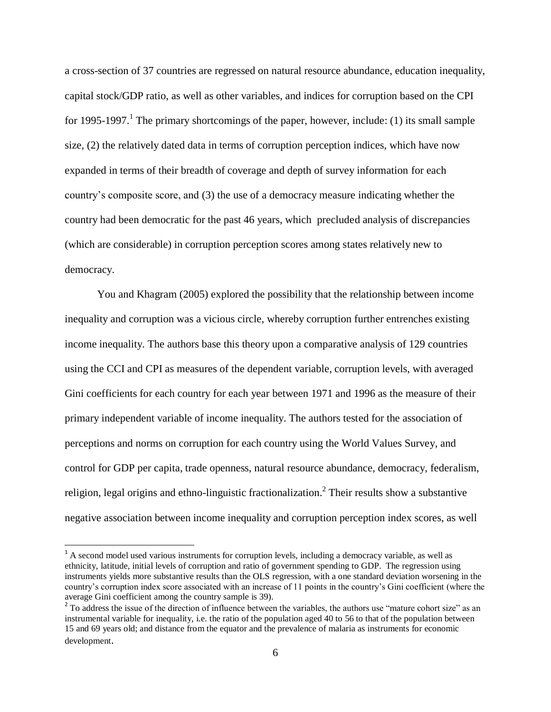a cross-section of 37 countries are regressed on natural resource abundance, education inequality, capital stock/GDP ratio, as well as other variables, and indices for corruption based on the CPI for 1995-1997.<sup>1</sup> The primary shortcomings of the paper, however, include: (1) its small sample size, (2) the relatively dated data in terms of corruption perception indices, which have now expanded in terms of their breadth of coverage and depth of survey information for each country's composite score, and (3) the use of a democracy measure indicating whether the country had been democratic for the past 46 years, which precluded analysis of discrepancies (which are considerable) in corruption perception scores among states relatively new to democracy.

You and Khagram (2005) explored the possibility that the relationship between income inequality and corruption was a vicious circle, whereby corruption further entrenches existing income inequality. The authors base this theory upon a comparative analysis of 129 countries using the CCI and CPI as measures of the dependent variable, corruption levels, with averaged Gini coefficients for each country for each year between 1971 and 1996 as the measure of their primary independent variable of income inequality. The authors tested for the association of perceptions and norms on corruption for each country using the World Values Survey, and control for GDP per capita, trade openness, natural resource abundance, democracy, federalism, religion, legal origins and ethno-linguistic fractionalization.<sup>2</sup> Their results show a substantive negative association between income inequality and corruption perception index scores, as well

 $\overline{a}$ 

<sup>&</sup>lt;sup>1</sup> A second model used various instruments for corruption levels, including a democracy variable, as well as ethnicity, latitude, initial levels of corruption and ratio of government spending to GDP. The regression using instruments yields more substantive results than the OLS regression, with a one standard deviation worsening in the country's corruption index score associated with an increase of 11 points in the country's Gini coefficient (where the average Gini coefficient among the country sample is 39).

 $2^2$  To address the issue of the direction of influence between the variables, the authors use "mature cohort size" as an instrumental variable for inequality, i.e. the ratio of the population aged 40 to 56 to that of the population between 15 and 69 years old; and distance from the equator and the prevalence of malaria as instruments for economic development.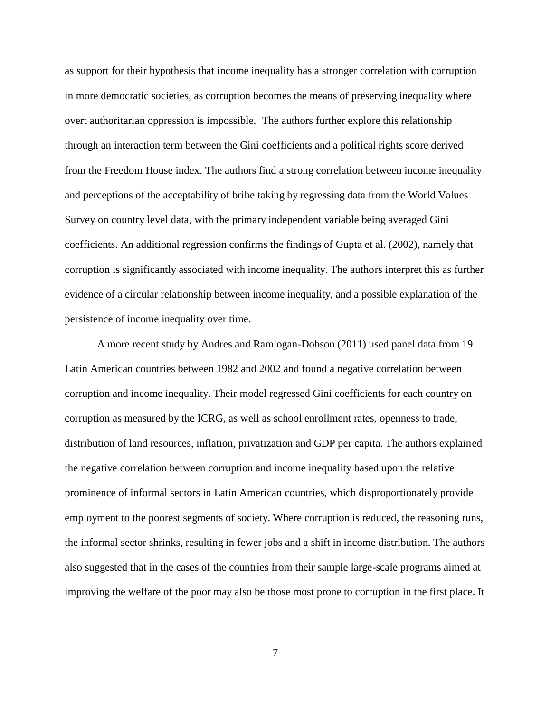as support for their hypothesis that income inequality has a stronger correlation with corruption in more democratic societies, as corruption becomes the means of preserving inequality where overt authoritarian oppression is impossible. The authors further explore this relationship through an interaction term between the Gini coefficients and a political rights score derived from the Freedom House index. The authors find a strong correlation between income inequality and perceptions of the acceptability of bribe taking by regressing data from the World Values Survey on country level data, with the primary independent variable being averaged Gini coefficients. An additional regression confirms the findings of Gupta et al. (2002), namely that corruption is significantly associated with income inequality. The authors interpret this as further evidence of a circular relationship between income inequality, and a possible explanation of the persistence of income inequality over time.

A more recent study by Andres and Ramlogan-Dobson (2011) used panel data from 19 Latin American countries between 1982 and 2002 and found a negative correlation between corruption and income inequality. Their model regressed Gini coefficients for each country on corruption as measured by the ICRG, as well as school enrollment rates, openness to trade, distribution of land resources, inflation, privatization and GDP per capita. The authors explained the negative correlation between corruption and income inequality based upon the relative prominence of informal sectors in Latin American countries, which disproportionately provide employment to the poorest segments of society. Where corruption is reduced, the reasoning runs, the informal sector shrinks, resulting in fewer jobs and a shift in income distribution. The authors also suggested that in the cases of the countries from their sample large-scale programs aimed at improving the welfare of the poor may also be those most prone to corruption in the first place. It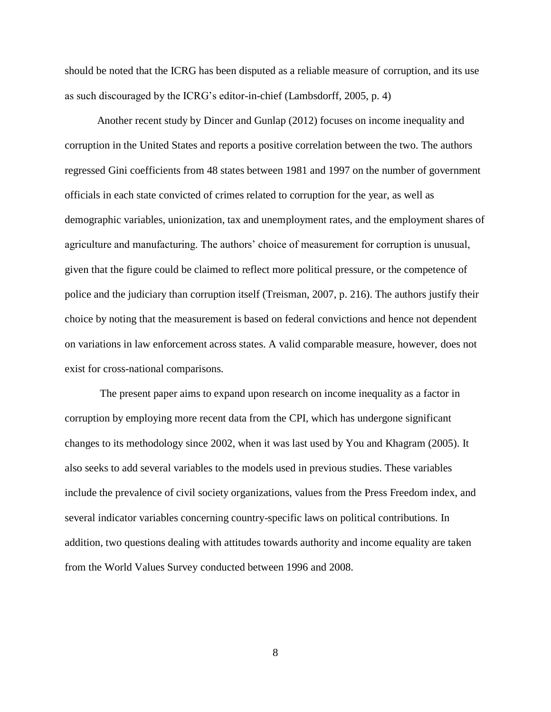should be noted that the ICRG has been disputed as a reliable measure of corruption, and its use as such discouraged by the ICRG's editor-in-chief (Lambsdorff, 2005, p. 4)

Another recent study by Dincer and Gunlap (2012) focuses on income inequality and corruption in the United States and reports a positive correlation between the two. The authors regressed Gini coefficients from 48 states between 1981 and 1997 on the number of government officials in each state convicted of crimes related to corruption for the year, as well as demographic variables, unionization, tax and unemployment rates, and the employment shares of agriculture and manufacturing. The authors' choice of measurement for corruption is unusual, given that the figure could be claimed to reflect more political pressure, or the competence of police and the judiciary than corruption itself (Treisman, 2007, p. 216). The authors justify their choice by noting that the measurement is based on federal convictions and hence not dependent on variations in law enforcement across states. A valid comparable measure, however, does not exist for cross-national comparisons.

The present paper aims to expand upon research on income inequality as a factor in corruption by employing more recent data from the CPI, which has undergone significant changes to its methodology since 2002, when it was last used by You and Khagram (2005). It also seeks to add several variables to the models used in previous studies. These variables include the prevalence of civil society organizations, values from the Press Freedom index, and several indicator variables concerning country-specific laws on political contributions. In addition, two questions dealing with attitudes towards authority and income equality are taken from the World Values Survey conducted between 1996 and 2008.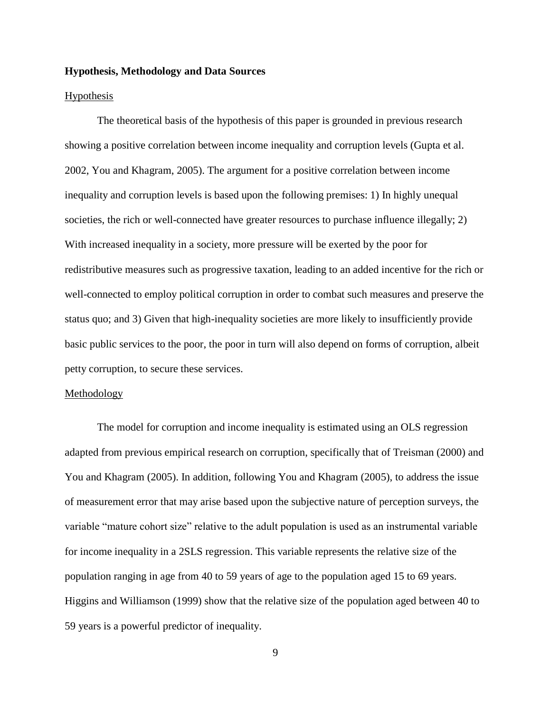#### **Hypothesis, Methodology and Data Sources**

#### Hypothesis

The theoretical basis of the hypothesis of this paper is grounded in previous research showing a positive correlation between income inequality and corruption levels (Gupta et al. 2002, You and Khagram, 2005). The argument for a positive correlation between income inequality and corruption levels is based upon the following premises: 1) In highly unequal societies, the rich or well-connected have greater resources to purchase influence illegally; 2) With increased inequality in a society, more pressure will be exerted by the poor for redistributive measures such as progressive taxation, leading to an added incentive for the rich or well-connected to employ political corruption in order to combat such measures and preserve the status quo; and 3) Given that high-inequality societies are more likely to insufficiently provide basic public services to the poor, the poor in turn will also depend on forms of corruption, albeit petty corruption, to secure these services.

#### Methodology

The model for corruption and income inequality is estimated using an OLS regression adapted from previous empirical research on corruption, specifically that of Treisman (2000) and You and Khagram (2005). In addition, following You and Khagram (2005), to address the issue of measurement error that may arise based upon the subjective nature of perception surveys, the variable "mature cohort size" relative to the adult population is used as an instrumental variable for income inequality in a 2SLS regression. This variable represents the relative size of the population ranging in age from 40 to 59 years of age to the population aged 15 to 69 years. Higgins and Williamson (1999) show that the relative size of the population aged between 40 to 59 years is a powerful predictor of inequality.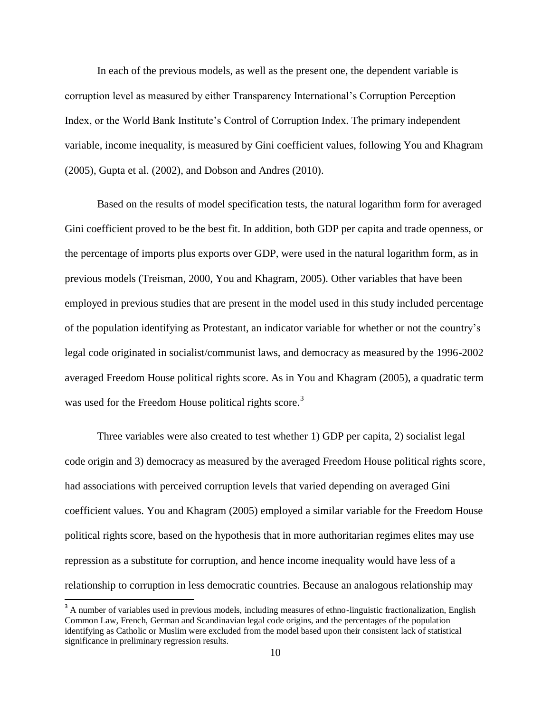In each of the previous models, as well as the present one, the dependent variable is corruption level as measured by either Transparency International's Corruption Perception Index, or the World Bank Institute's Control of Corruption Index. The primary independent variable, income inequality, is measured by Gini coefficient values, following You and Khagram (2005), Gupta et al. (2002), and Dobson and Andres (2010).

Based on the results of model specification tests, the natural logarithm form for averaged Gini coefficient proved to be the best fit. In addition, both GDP per capita and trade openness, or the percentage of imports plus exports over GDP, were used in the natural logarithm form, as in previous models (Treisman, 2000, You and Khagram, 2005). Other variables that have been employed in previous studies that are present in the model used in this study included percentage of the population identifying as Protestant, an indicator variable for whether or not the country's legal code originated in socialist/communist laws, and democracy as measured by the 1996-2002 averaged Freedom House political rights score. As in You and Khagram (2005), a quadratic term was used for the Freedom House political rights score.<sup>3</sup>

Three variables were also created to test whether 1) GDP per capita, 2) socialist legal code origin and 3) democracy as measured by the averaged Freedom House political rights score, had associations with perceived corruption levels that varied depending on averaged Gini coefficient values. You and Khagram (2005) employed a similar variable for the Freedom House political rights score, based on the hypothesis that in more authoritarian regimes elites may use repression as a substitute for corruption, and hence income inequality would have less of a relationship to corruption in less democratic countries. Because an analogous relationship may

 $\overline{a}$ 

<sup>&</sup>lt;sup>3</sup> A number of variables used in previous models, including measures of ethno-linguistic fractionalization, English Common Law, French, German and Scandinavian legal code origins, and the percentages of the population identifying as Catholic or Muslim were excluded from the model based upon their consistent lack of statistical significance in preliminary regression results.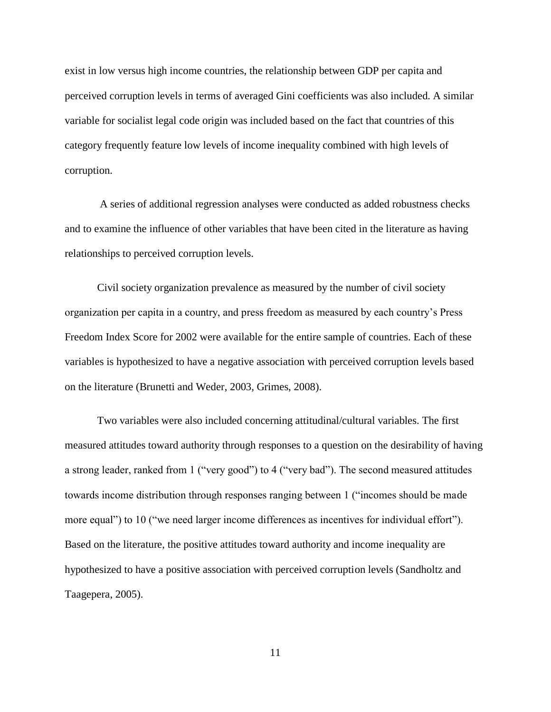exist in low versus high income countries, the relationship between GDP per capita and perceived corruption levels in terms of averaged Gini coefficients was also included. A similar variable for socialist legal code origin was included based on the fact that countries of this category frequently feature low levels of income inequality combined with high levels of corruption.

A series of additional regression analyses were conducted as added robustness checks and to examine the influence of other variables that have been cited in the literature as having relationships to perceived corruption levels.

Civil society organization prevalence as measured by the number of civil society organization per capita in a country, and press freedom as measured by each country's Press Freedom Index Score for 2002 were available for the entire sample of countries. Each of these variables is hypothesized to have a negative association with perceived corruption levels based on the literature (Brunetti and Weder, 2003, Grimes, 2008).

Two variables were also included concerning attitudinal/cultural variables. The first measured attitudes toward authority through responses to a question on the desirability of having a strong leader, ranked from 1 ("very good") to 4 ("very bad"). The second measured attitudes towards income distribution through responses ranging between 1 ("incomes should be made more equal") to 10 ("we need larger income differences as incentives for individual effort"). Based on the literature, the positive attitudes toward authority and income inequality are hypothesized to have a positive association with perceived corruption levels (Sandholtz and Taagepera, 2005).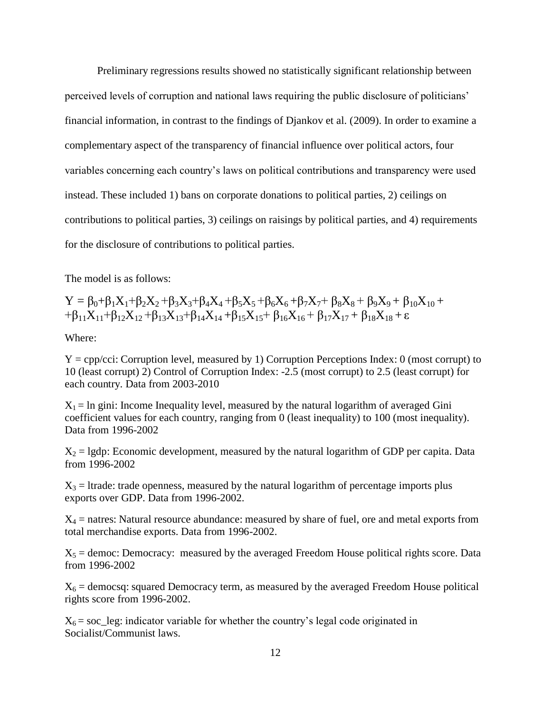Preliminary regressions results showed no statistically significant relationship between perceived levels of corruption and national laws requiring the public disclosure of politicians' financial information, in contrast to the findings of Djankov et al. (2009). In order to examine a complementary aspect of the transparency of financial influence over political actors, four variables concerning each country's laws on political contributions and transparency were used instead. These included 1) bans on corporate donations to political parties, 2) ceilings on contributions to political parties, 3) ceilings on raisings by political parties, and 4) requirements for the disclosure of contributions to political parties.

The model is as follows:

$$
Y = \beta_0 + \beta_1 X_1 + \beta_2 X_2 + \beta_3 X_3 + \beta_4 X_4 + \beta_5 X_5 + \beta_6 X_6 + \beta_7 X_7 + \beta_8 X_8 + \beta_9 X_9 + \beta_{10} X_{10} +
$$
  
+
$$
\beta_{11} X_{11} + \beta_{12} X_{12} + \beta_{13} X_{13} + \beta_{14} X_{14} + \beta_{15} X_{15} + \beta_{16} X_{16} + \beta_{17} X_{17} + \beta_{18} X_{18} + \epsilon
$$

Where:

 $Y = \text{cpp}/\text{cci}$ : Corruption level, measured by 1) Corruption Perceptions Index: 0 (most corrupt) to 10 (least corrupt) 2) Control of Corruption Index: -2.5 (most corrupt) to 2.5 (least corrupt) for each country. Data from 2003-2010

 $X_1 = \ln \text{gini}$ : Income Inequality level, measured by the natural logarithm of averaged Gini coefficient values for each country, ranging from 0 (least inequality) to 100 (most inequality). Data from 1996-2002

 $X_2 =$ lgdp: Economic development, measured by the natural logarithm of GDP per capita. Data from 1996-2002

 $X_3$  = ltrade: trade openness, measured by the natural logarithm of percentage imports plus exports over GDP. Data from 1996-2002.

 $X_4$  = natres: Natural resource abundance: measured by share of fuel, ore and metal exports from total merchandise exports. Data from 1996-2002.

 $X_5$  = democ: Democracy: measured by the averaged Freedom House political rights score. Data from 1996-2002

 $X_6$  = democsq: squared Democracy term, as measured by the averaged Freedom House political rights score from 1996-2002.

 $X_6$  = soc\_leg: indicator variable for whether the country's legal code originated in Socialist/Communist laws.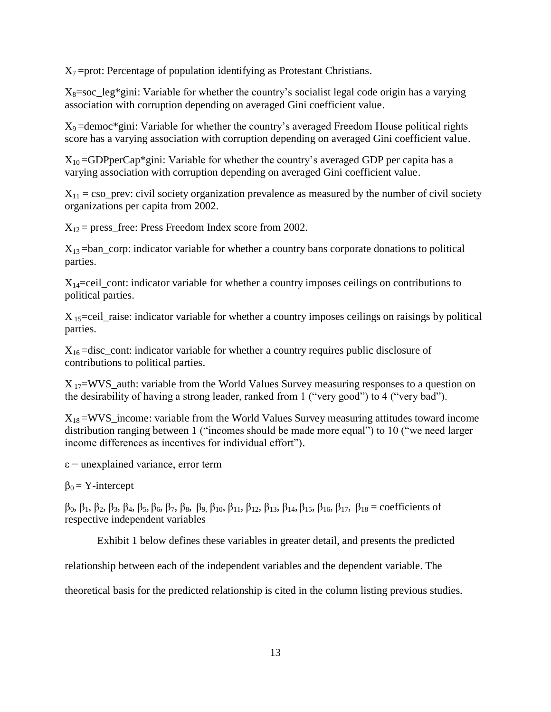$X_7$ =prot: Percentage of population identifying as Protestant Christians.

 $X_8 = soc\_leg*gini$ : Variable for whether the country's socialist legal code origin has a varying association with corruption depending on averaged Gini coefficient value.

 $X_9 =$ democ $*$ gini: Variable for whether the country's averaged Freedom House political rights score has a varying association with corruption depending on averaged Gini coefficient value.

 $X_{10}$ =GDPperCap\*gini: Variable for whether the country's averaged GDP per capita has a varying association with corruption depending on averaged Gini coefficient value.

 $X_{11}$  = cso\_prev: civil society organization prevalence as measured by the number of civil society organizations per capita from 2002.

 $X_{12}$  = press\_free: Press Freedom Index score from 2002.

 $X_{13}$ =ban\_corp: indicator variable for whether a country bans corporate donations to political parties.

 $X_{14}$ =ceil\_cont: indicator variable for whether a country imposes ceilings on contributions to political parties.

 $X_{15}$ =ceil raise: indicator variable for whether a country imposes ceilings on raisings by political parties.

 $X_{16}$ =disc\_cont: indicator variable for whether a country requires public disclosure of contributions to political parties.

 $X_{17}$ =WVS\_auth: variable from the World Values Survey measuring responses to a question on the desirability of having a strong leader, ranked from 1 ("very good") to 4 ("very bad").

 $X_{18}$ =WVS\_income: variable from the World Values Survey measuring attitudes toward income distribution ranging between 1 ("incomes should be made more equal") to 10 ("we need larger income differences as incentives for individual effort").

 $\varepsilon$  = unexplained variance, error term

 $\beta_0 = Y\text{-intercept}$ 

 $\beta_0$ ,  $\beta_1$ ,  $\beta_2$ ,  $\beta_3$ ,  $\beta_4$ ,  $\beta_5$ ,  $\beta_6$ ,  $\beta_7$ ,  $\beta_8$ ,  $\beta_9$ ,  $\beta_{10}$ ,  $\beta_{11}$ ,  $\beta_{12}$ ,  $\beta_{13}$ ,  $\beta_{14}$ ,  $\beta_{15}$ ,  $\beta_{16}$ ,  $\beta_{17}$ ,  $\beta_{18}$  = coefficients of respective independent variables

Exhibit 1 below defines these variables in greater detail, and presents the predicted

relationship between each of the independent variables and the dependent variable. The

theoretical basis for the predicted relationship is cited in the column listing previous studies.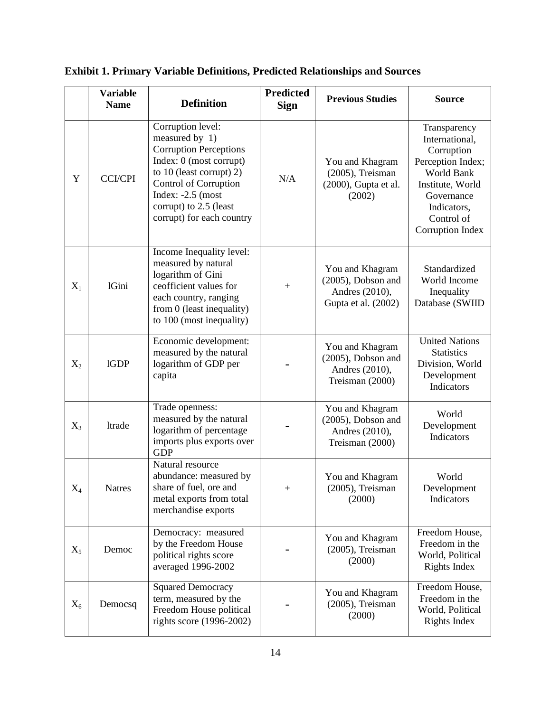|       | <b>Variable</b><br><b>Name</b> | <b>Definition</b>                                                                                                                                                                                                                    | <b>Predicted</b><br><b>Sign</b> | <b>Previous Studies</b>                                                           | <b>Source</b>                                                                                                                                                             |
|-------|--------------------------------|--------------------------------------------------------------------------------------------------------------------------------------------------------------------------------------------------------------------------------------|---------------------------------|-----------------------------------------------------------------------------------|---------------------------------------------------------------------------------------------------------------------------------------------------------------------------|
| Y     | <b>CCI/CPI</b>                 | Corruption level:<br>measured by 1)<br><b>Corruption Perceptions</b><br>Index: 0 (most corrupt)<br>to $10$ (least corrupt) 2)<br>Control of Corruption<br>Index: $-2.5$ (most<br>corrupt) to 2.5 (least<br>corrupt) for each country | N/A                             | You and Khagram<br>$(2005)$ , Treisman<br>(2000), Gupta et al.<br>(2002)          | Transparency<br>International,<br>Corruption<br>Perception Index;<br>World Bank<br>Institute, World<br>Governance<br>Indicators,<br>Control of<br><b>Corruption Index</b> |
| $X_1$ | 1Gini                          | Income Inequality level:<br>measured by natural<br>logarithm of Gini<br>ceofficient values for<br>each country, ranging<br>from 0 (least inequality)<br>to 100 (most inequality)                                                     | $+$                             | You and Khagram<br>$(2005)$ , Dobson and<br>Andres (2010),<br>Gupta et al. (2002) | Standardized<br>World Income<br>Inequality<br>Database (SWIID                                                                                                             |
| $X_2$ | <b>IGDP</b>                    | Economic development:<br>measured by the natural<br>logarithm of GDP per<br>capita                                                                                                                                                   |                                 | You and Khagram<br>$(2005)$ , Dobson and<br>Andres (2010),<br>Treisman (2000)     | <b>United Nations</b><br><b>Statistics</b><br>Division, World<br>Development<br>Indicators                                                                                |
| $X_3$ | ltrade                         | Trade openness:<br>measured by the natural<br>logarithm of percentage<br>imports plus exports over<br><b>GDP</b>                                                                                                                     |                                 | You and Khagram<br>$(2005)$ , Dobson and<br>Andres (2010),<br>Treisman (2000)     | World<br>Development<br>Indicators                                                                                                                                        |
| $X_4$ | <b>Natres</b>                  | Natural resource<br>abundance: measured by<br>share of fuel, ore and<br>metal exports from total<br>merchandise exports                                                                                                              | $\, +$                          | You and Khagram<br>$(2005)$ , Treisman<br>(2000)                                  | World<br>Development<br>Indicators                                                                                                                                        |
| $X_5$ | Democ                          | Democracy: measured<br>by the Freedom House<br>political rights score<br>averaged 1996-2002                                                                                                                                          |                                 | You and Khagram<br>$(2005)$ , Treisman<br>(2000)                                  | Freedom House,<br>Freedom in the<br>World, Political<br>Rights Index                                                                                                      |
| $X_6$ | Democsq                        | <b>Squared Democracy</b><br>term, measured by the<br>Freedom House political<br>rights score (1996-2002)                                                                                                                             |                                 | You and Khagram<br>$(2005)$ , Treisman<br>(2000)                                  | Freedom House,<br>Freedom in the<br>World, Political<br>Rights Index                                                                                                      |

**Exhibit 1. Primary Variable Definitions, Predicted Relationships and Sources**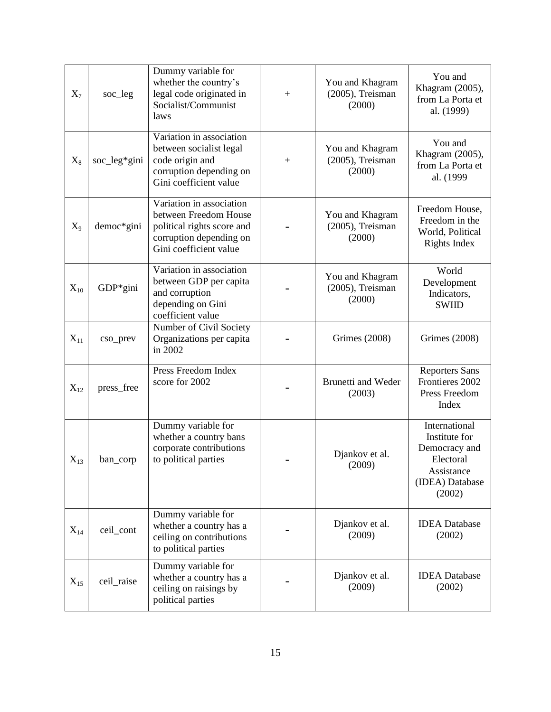| $X_7$    | soc_leg      | Dummy variable for<br>whether the country's<br>legal code originated in<br>Socialist/Communist<br>laws                               | $+$ | You and Khagram<br>$(2005)$ , Treisman<br>(2000) | You and<br>Khagram (2005),<br>from La Porta et<br>al. (1999)                                            |
|----------|--------------|--------------------------------------------------------------------------------------------------------------------------------------|-----|--------------------------------------------------|---------------------------------------------------------------------------------------------------------|
| $X_8$    | soc_leg*gini | Variation in association<br>between socialist legal<br>code origin and<br>corruption depending on<br>Gini coefficient value          | $+$ | You and Khagram<br>$(2005)$ , Treisman<br>(2000) | You and<br>Khagram (2005),<br>from La Porta et<br>al. (1999)                                            |
| $X_9$    | democ*gini   | Variation in association<br>between Freedom House<br>political rights score and<br>corruption depending on<br>Gini coefficient value |     | You and Khagram<br>$(2005)$ , Treisman<br>(2000) | Freedom House,<br>Freedom in the<br>World, Political<br>Rights Index                                    |
| $X_{10}$ | $GDP*gini$   | Variation in association<br>between GDP per capita<br>and corruption<br>depending on Gini<br>coefficient value                       |     | You and Khagram<br>(2005), Treisman<br>(2000)    | World<br>Development<br>Indicators,<br><b>SWIID</b>                                                     |
| $X_{11}$ | cso_prev     | Number of Civil Society<br>Organizations per capita<br>in 2002                                                                       |     | Grimes (2008)                                    | Grimes (2008)                                                                                           |
| $X_{12}$ | press_free   | Press Freedom Index<br>score for 2002                                                                                                |     | <b>Brunetti and Weder</b><br>(2003)              | <b>Reporters Sans</b><br>Frontieres 2002<br>Press Freedom<br>Index                                      |
| $X_{13}$ | ban_corp     | Dummy variable for<br>whether a country bans<br>corporate contributions<br>to political parties                                      |     | Djankov et al.<br>(2009)                         | International<br>Institute for<br>Democracy and<br>Electoral<br>Assistance<br>(IDEA) Database<br>(2002) |
| $X_{14}$ | ceil_cont    | Dummy variable for<br>whether a country has a<br>ceiling on contributions<br>to political parties                                    |     | Djankov et al.<br>(2009)                         | <b>IDEA</b> Database<br>(2002)                                                                          |
| $X_{15}$ | ceil_raise   | Dummy variable for<br>whether a country has a<br>ceiling on raisings by<br>political parties                                         |     | Djankov et al.<br>(2009)                         | <b>IDEA</b> Database<br>(2002)                                                                          |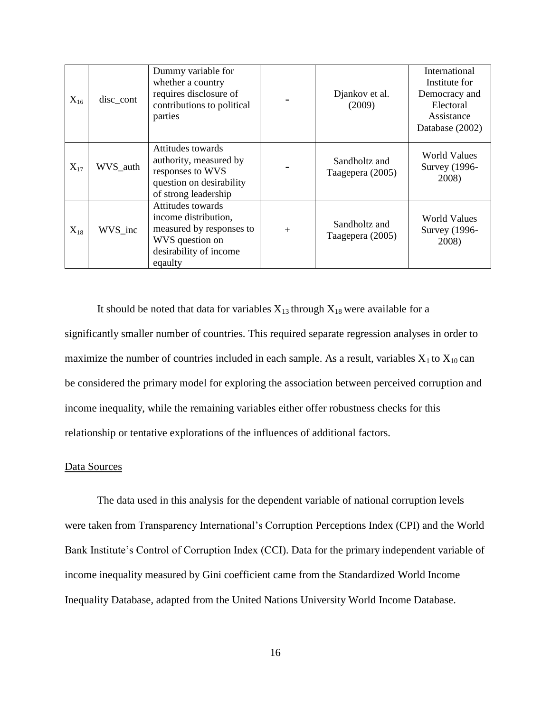| $X_{16}$ | disc_cont | Dummy variable for<br>whether a country<br>requires disclosure of<br>contributions to political<br>parties                    |     | Djankov et al.<br>(2009)          | International<br>Institute for<br>Democracy and<br>Electoral<br>Assistance<br>Database (2002) |
|----------|-----------|-------------------------------------------------------------------------------------------------------------------------------|-----|-----------------------------------|-----------------------------------------------------------------------------------------------|
| $X_{17}$ | WVS auth  | Attitudes towards<br>authority, measured by<br>responses to WVS<br>question on desirability<br>of strong leadership           |     | Sandholtz and<br>Taagepera (2005) | World Values<br>Survey (1996-<br>2008)                                                        |
| $X_{18}$ | WVS inc   | Attitudes towards<br>income distribution,<br>measured by responses to<br>WVS question on<br>desirability of income<br>eqaulty | $+$ | Sandholtz and<br>Taagepera (2005) | World Values<br>Survey (1996-<br>2008)                                                        |

It should be noted that data for variables  $X_{13}$  through  $X_{18}$  were available for a significantly smaller number of countries. This required separate regression analyses in order to maximize the number of countries included in each sample. As a result, variables  $X_1$  to  $X_{10}$  can be considered the primary model for exploring the association between perceived corruption and income inequality, while the remaining variables either offer robustness checks for this relationship or tentative explorations of the influences of additional factors.

#### Data Sources

The data used in this analysis for the dependent variable of national corruption levels were taken from Transparency International's Corruption Perceptions Index (CPI) and the World Bank Institute's Control of Corruption Index (CCI). Data for the primary independent variable of income inequality measured by Gini coefficient came from the Standardized World Income Inequality Database, adapted from the United Nations University World Income Database.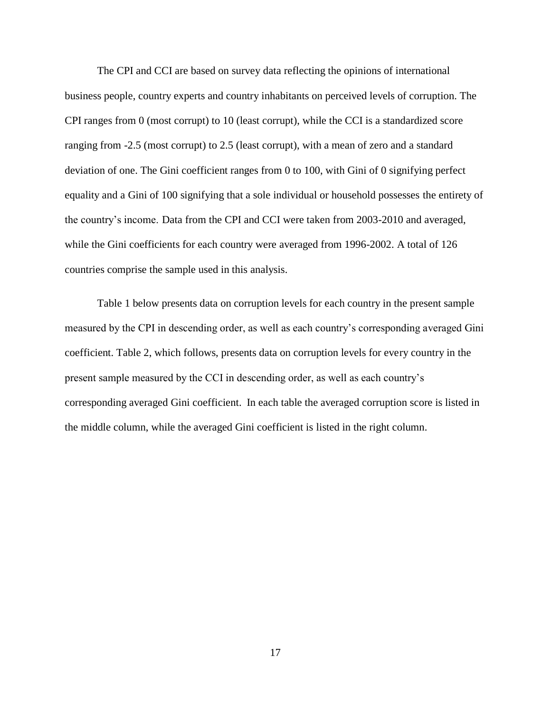The CPI and CCI are based on survey data reflecting the opinions of international business people, country experts and country inhabitants on perceived levels of corruption. The CPI ranges from 0 (most corrupt) to 10 (least corrupt), while the CCI is a standardized score ranging from -2.5 (most corrupt) to 2.5 (least corrupt), with a mean of zero and a standard deviation of one. The Gini coefficient ranges from 0 to 100, with Gini of 0 signifying perfect equality and a Gini of 100 signifying that a sole individual or household possesses the entirety of the country's income. Data from the CPI and CCI were taken from 2003-2010 and averaged, while the Gini coefficients for each country were averaged from 1996-2002. A total of 126 countries comprise the sample used in this analysis.

Table 1 below presents data on corruption levels for each country in the present sample measured by the CPI in descending order, as well as each country's corresponding averaged Gini coefficient. Table 2, which follows, presents data on corruption levels for every country in the present sample measured by the CCI in descending order, as well as each country's corresponding averaged Gini coefficient. In each table the averaged corruption score is listed in the middle column, while the averaged Gini coefficient is listed in the right column.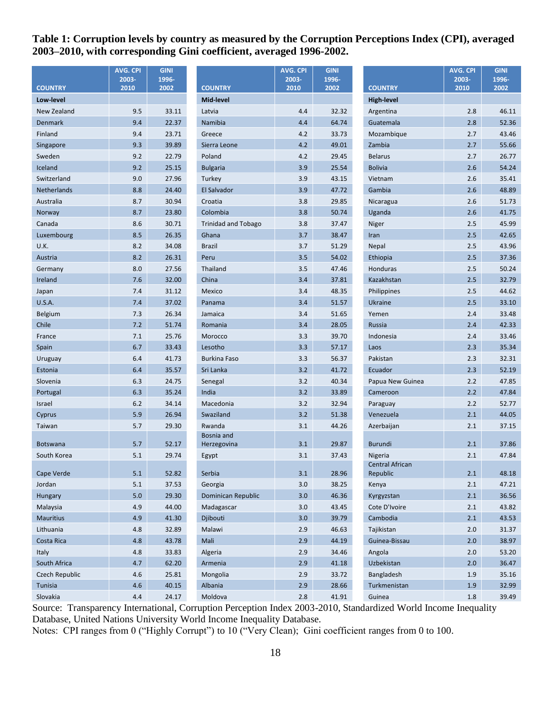**Table 1: Corruption levels by country as measured by the Corruption Perceptions Index (CPI), averaged 2003–2010, with corresponding Gini coefficient, averaged 1996-2002.**

| <b>COUNTRY</b>   | <b>AVG. CPI</b><br>2003-<br>2010 | <b>GINI</b><br>1996-<br>2002 |                             | <b>AVG. CPI</b><br>2003-<br>2010 | <b>GINI</b><br>1996-<br>2002 |                             | <b>AVG. CPI</b><br>2003-<br>2010 | <b>GINI</b><br>1996-<br>2002 |
|------------------|----------------------------------|------------------------------|-----------------------------|----------------------------------|------------------------------|-----------------------------|----------------------------------|------------------------------|
| Low-level        |                                  |                              | <b>COUNTRY</b><br>Mid-level |                                  |                              | <b>COUNTRY</b>              |                                  |                              |
|                  |                                  |                              |                             |                                  |                              | <b>High-level</b>           |                                  |                              |
| New Zealand      | 9.5                              | 33.11                        | Latvia                      | 4.4                              | 32.32                        | Argentina                   | 2.8                              | 46.11                        |
| Denmark          | 9.4                              | 22.37                        | Namibia                     | 4.4                              | 64.74                        | Guatemala                   | 2.8                              | 52.36                        |
| Finland          | 9.4                              | 23.71                        | Greece                      | 4.2                              | 33.73                        | Mozambique                  | 2.7                              | 43.46                        |
| Singapore        | 9.3                              | 39.89                        | Sierra Leone                | 4.2                              | 49.01                        | Zambia                      | 2.7                              | 55.66                        |
| Sweden           | 9.2                              | 22.79                        | Poland                      | 4.2                              | 29.45                        | <b>Belarus</b>              | 2.7                              | 26.77                        |
| Iceland          | 9.2                              | 25.15                        | <b>Bulgaria</b>             | 3.9                              | 25.54                        | <b>Bolivia</b>              | 2.6                              | 54.24                        |
| Switzerland      | 9.0                              | 27.96                        | Turkey                      | 3.9                              | 43.15                        | Vietnam                     | 2.6                              | 35.41                        |
| Netherlands      | 8.8                              | 24.40                        | El Salvador                 | 3.9                              | 47.72                        | Gambia                      | 2.6                              | 48.89                        |
| Australia        | 8.7                              | 30.94                        | Croatia                     | 3.8                              | 29.85                        | Nicaragua                   | 2.6                              | 51.73                        |
| Norway           | 8.7                              | 23.80                        | Colombia                    | 3.8                              | 50.74                        | Uganda                      | 2.6                              | 41.75                        |
| Canada           | 8.6                              | 30.71                        | <b>Trinidad and Tobago</b>  | 3.8                              | 37.47                        | Niger                       | 2.5                              | 45.99                        |
| Luxembourg       | 8.5                              | 26.35                        | Ghana                       | 3.7                              | 38.47                        | Iran                        | 2.5                              | 42.65                        |
| U.K.             | 8.2                              | 34.08                        | <b>Brazil</b>               | 3.7                              | 51.29                        | Nepal                       | 2.5                              | 43.96                        |
| Austria          | 8.2                              | 26.31                        | Peru                        | 3.5                              | 54.02                        | Ethiopia                    | 2.5                              | 37.36                        |
| Germany          | 8.0                              | 27.56                        | Thailand                    | 3.5                              | 47.46                        | Honduras                    | 2.5                              | 50.24                        |
| Ireland          | 7.6                              | 32.00                        | China                       | 3.4                              | 37.81                        | Kazakhstan                  | 2.5                              | 32.79                        |
| Japan            | 7.4                              | 31.12                        | Mexico                      | 3.4                              | 48.35                        | Philippines                 | 2.5                              | 44.62                        |
| <b>U.S.A.</b>    | 7.4                              | 37.02                        | Panama                      | 3.4                              | 51.57                        | Ukraine                     | 2.5                              | 33.10                        |
| Belgium          | 7.3                              | 26.34                        | Jamaica                     | 3.4                              | 51.65                        | Yemen                       | 2.4                              | 33.48                        |
| Chile            | 7.2                              | 51.74                        | Romania                     | 3.4                              | 28.05                        | Russia                      | 2.4                              | 42.33                        |
| France           | 7.1                              | 25.76                        | Morocco                     | 3.3                              | 39.70                        | Indonesia                   | 2.4                              | 33.46                        |
| Spain            | 6.7                              | 33.43                        | Lesotho                     | 3.3                              | 57.17                        | Laos                        | 2.3                              | 35.34                        |
| Uruguay          | 6.4                              | 41.73                        | <b>Burkina Faso</b>         | 3.3                              | 56.37                        | Pakistan                    | 2.3                              | 32.31                        |
| Estonia          | 6.4                              | 35.57                        | Sri Lanka                   | 3.2                              | 41.72                        | Ecuador                     | 2.3                              | 52.19                        |
| Slovenia         | 6.3                              | 24.75                        | Senegal                     | 3.2                              | 40.34                        | Papua New Guinea            | $2.2$                            | 47.85                        |
| Portugal         | 6.3                              | 35.24                        | India                       | 3.2                              | 33.89                        | Cameroon                    | 2.2                              | 47.84                        |
| Israel           | 6.2                              | 34.14                        | Macedonia                   | 3.2                              | 32.94                        | Paraguay                    | 2.2                              | 52.77                        |
| Cyprus           | 5.9                              | 26.94                        | Swaziland                   | 3.2                              | 51.38                        | Venezuela                   | 2.1                              | 44.05                        |
| Taiwan           | 5.7                              | 29.30                        | Rwanda                      | 3.1                              | 44.26                        | Azerbaijan                  | 2.1                              | 37.15                        |
|                  |                                  |                              | Bosnia and                  |                                  |                              |                             |                                  |                              |
| <b>Botswana</b>  | 5.7                              | 52.17                        | Herzegovina                 | 3.1                              | 29.87                        | <b>Burundi</b>              | 2.1                              | 37.86                        |
| South Korea      | 5.1                              | 29.74                        | Egypt                       | 3.1                              | 37.43                        | Nigeria                     | 2.1                              | 47.84                        |
| Cape Verde       | 5.1                              | 52.82                        | Serbia                      | 3.1                              | 28.96                        | Central African<br>Republic | 2.1                              | 48.18                        |
|                  |                                  |                              |                             |                                  |                              |                             |                                  |                              |
| Jordan           | 5.1                              | 37.53                        | Georgia                     | $3.0\,$                          | 38.25                        | Kenya                       | $2.1\,$                          | 47.21                        |
| Hungary          | 5.0                              | 29.30                        | Dominican Republic          | 3.0                              | 46.36                        | Kyrgyzstan                  | $2.1\,$                          | 36.56                        |
| Malaysia         | 4.9                              | 44.00                        | Madagascar                  | 3.0                              | 43.45                        | Cote D'Ivoire               | 2.1                              | 43.82                        |
| <b>Mauritius</b> | 4.9                              | 41.30                        | Djibouti                    | 3.0                              | 39.79                        | Cambodia                    | 2.1                              | 43.53                        |
| Lithuania        | 4.8                              | 32.89                        | Malawi                      | 2.9                              | 46.63                        | Tajikistan                  | 2.0                              | 31.37                        |
| Costa Rica       | 4.8                              | 43.78                        | Mali                        | 2.9                              | 44.19                        | Guinea-Bissau               | 2.0                              | 38.97                        |
| Italy            | 4.8                              | 33.83                        | Algeria                     | 2.9                              | 34.46                        | Angola                      | 2.0                              | 53.20                        |
| South Africa     | 4.7                              | 62.20                        | Armenia                     | 2.9                              | 41.18                        | Uzbekistan                  | 2.0                              | 36.47                        |
| Czech Republic   | 4.6                              | 25.81                        | Mongolia                    | $2.9$                            | 33.72                        | Bangladesh                  | 1.9                              | 35.16                        |
| Tunisia          | 4.6                              | 40.15                        | Albania                     | 2.9                              | 28.66                        | Turkmenistan                | 1.9                              | 32.99                        |
| Slovakia         | 4.4                              | 24.17                        | Moldova                     | 2.8                              | 41.91                        | Guinea                      | 1.8                              | 39.49                        |

Source: Transparency International, Corruption Perception Index 2003-2010, Standardized World Income Inequality Database, United Nations University World Income Inequality Database.

Notes: CPI ranges from 0 ("Highly Corrupt") to 10 ("Very Clean); Gini coefficient ranges from 0 to 100.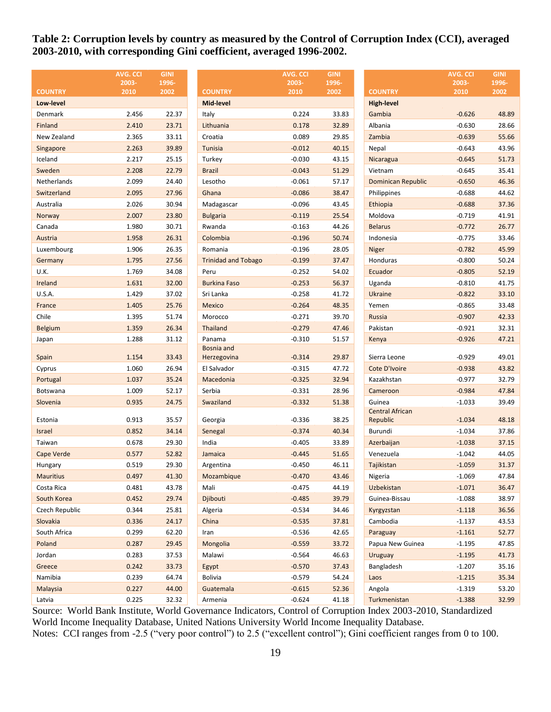**Table 2: Corruption levels by country as measured by the Control of Corruption Index (CCI), averaged 2003-2010, with corresponding Gini coefficient, averaged 1996-2002.** 

|                  | <b>AVG. CCI</b><br>2003- | <b>GINI</b><br>1996- |                            | <b>AVG. CCI</b><br>2003- | <b>GINI</b><br>1996- |                                  | <b>AVG. CCI</b><br>2003- | <b>GINI</b><br>1996- |
|------------------|--------------------------|----------------------|----------------------------|--------------------------|----------------------|----------------------------------|--------------------------|----------------------|
| <b>COUNTRY</b>   | 2010                     | 2002                 | <b>COUNTRY</b>             | 2010                     | 2002                 | <b>COUNTRY</b>                   | 2010                     | 2002                 |
| Low-level        |                          |                      | Mid-level                  |                          |                      | <b>High-level</b>                |                          |                      |
| Denmark          | 2.456                    | 22.37                | Italy                      | 0.224                    | 33.83                | Gambia                           | $-0.626$                 | 48.89                |
| Finland          | 2.410                    | 23.71                | Lithuania                  | 0.178                    | 32.89                | Albania                          | $-0.630$                 | 28.66                |
| New Zealand      | 2.365                    | 33.11                | Croatia                    | 0.089                    | 29.85                | Zambia                           | $-0.639$                 | 55.66                |
| Singapore        | 2.263                    | 39.89                | Tunisia                    | $-0.012$                 | 40.15                | Nepal                            | $-0.643$                 | 43.96                |
| Iceland          | 2.217                    | 25.15                | Turkey                     | $-0.030$                 | 43.15                | Nicaragua                        | $-0.645$                 | 51.73                |
| Sweden           | 2.208                    | 22.79                | <b>Brazil</b>              | $-0.043$                 | 51.29                | Vietnam                          | $-0.645$                 | 35.41                |
| Netherlands      | 2.099                    | 24.40                | Lesotho                    | $-0.061$                 | 57.17                | <b>Dominican Republic</b>        | $-0.650$                 | 46.36                |
| Switzerland      | 2.095                    | 27.96                | Ghana                      | $-0.086$                 | 38.47                | Philippines                      | $-0.688$                 | 44.62                |
| Australia        | 2.026                    | 30.94                | Madagascar                 | $-0.096$                 | 43.45                | Ethiopia                         | $-0.688$                 | 37.36                |
| Norway           | 2.007                    | 23.80                | <b>Bulgaria</b>            | $-0.119$                 | 25.54                | Moldova                          | $-0.719$                 | 41.91                |
| Canada           | 1.980                    | 30.71                | Rwanda                     | $-0.163$                 | 44.26                | <b>Belarus</b>                   | $-0.772$                 | 26.77                |
| Austria          | 1.958                    | 26.31                | Colombia                   | $-0.196$                 | 50.74                | Indonesia                        | $-0.775$                 | 33.46                |
| Luxembourg       | 1.906                    | 26.35                | Romania                    | $-0.196$                 | 28.05                | <b>Niger</b>                     | $-0.782$                 | 45.99                |
| Germany          | 1.795                    | 27.56                | <b>Trinidad and Tobago</b> | $-0.199$                 | 37.47                | Honduras                         | $-0.800$                 | 50.24                |
| U.K.             | 1.769                    | 34.08                | Peru                       | $-0.252$                 | 54.02                | Ecuador                          | $-0.805$                 | 52.19                |
| Ireland          | 1.631                    | 32.00                | <b>Burkina Faso</b>        | $-0.253$                 | 56.37                | Uganda                           | $-0.810$                 | 41.75                |
| U.S.A.           | 1.429                    | 37.02                | Sri Lanka                  | $-0.258$                 | 41.72                | <b>Ukraine</b>                   | $-0.822$                 | 33.10                |
| France           | 1.405                    | 25.76                | Mexico                     | $-0.264$                 | 48.35                | Yemen                            | $-0.865$                 | 33.48                |
| Chile            | 1.395                    | 51.74                | Morocco                    | $-0.271$                 | 39.70                | Russia                           | $-0.907$                 | 42.33                |
| Belgium          | 1.359                    | 26.34                | Thailand                   | $-0.279$                 | 47.46                | Pakistan                         | $-0.921$                 | 32.31                |
| Japan            | 1.288                    | 31.12                | Panama                     | $-0.310$                 | 51.57                | Kenya                            | $-0.926$                 | 47.21                |
|                  |                          |                      | <b>Bosnia</b> and          |                          |                      |                                  |                          |                      |
| Spain            | 1.154                    | 33.43                | Herzegovina                | $-0.314$                 | 29.87                | Sierra Leone                     | $-0.929$                 | 49.01                |
| Cyprus           | 1.060                    | 26.94                | El Salvador                | $-0.315$                 | 47.72                | Cote D'Ivoire                    | $-0.938$                 | 43.82                |
| Portugal         | 1.037                    | 35.24                | Macedonia                  | $-0.325$                 | 32.94                | Kazakhstan                       | $-0.977$                 | 32.79                |
| Botswana         | 1.009                    | 52.17                | Serbia                     | $-0.331$                 | 28.96                | Cameroon                         | $-0.984$                 | 47.84                |
| Slovenia         | 0.935                    | 24.75                | Swaziland                  | $-0.332$                 | 51.38                | Guinea<br><b>Central African</b> | $-1.033$                 | 39.49                |
| Estonia          | 0.913                    | 35.57                | Georgia                    | $-0.336$                 | 38.25                | Republic                         | $-1.034$                 | 48.18                |
| Israel           | 0.852                    | 34.14                | Senegal                    | $-0.374$                 | 40.34                | Burundi                          | $-1.034$                 | 37.86                |
| Taiwan           | 0.678                    | 29.30                | India                      | $-0.405$                 | 33.89                | Azerbaijan                       | $-1.038$                 | 37.15                |
| Cape Verde       | 0.577                    | 52.82                | Jamaica                    | $-0.445$                 | 51.65                | Venezuela                        | $-1.042$                 | 44.05                |
| Hungary          | 0.519                    | 29.30                | Argentina                  | $-0.450$                 | 46.11                | Tajikistan                       | $-1.059$                 | 31.37                |
| <b>Mauritius</b> | 0.497                    | 41.30                | Mozambique                 | $-0.470$                 | 43.46                | Nigeria                          | $-1.069$                 | 47.84                |
| Costa Rica       | 0.481                    | 43.78                | Mali                       | $-0.475$                 | 44.19                | Uzbekistan                       | $-1.071$                 | 36.47                |
| South Korea      | 0.452                    | 29.74                | Djibouti                   | $-0.485$                 | 39.79                | Guinea-Bissau                    | $-1.088$                 | 38.97                |
| Czech Republic   | 0.344                    | 25.81                | Algeria                    | $-0.534$                 | 34.46                | Kyrgyzstan                       | $-1.118$                 | 36.56                |
| Slovakia         | 0.336                    | 24.17                | China                      | $-0.535$                 | 37.81                | Cambodia                         | $-1.137$                 | 43.53                |
| South Africa     | 0.299                    | 62.20                | Iran                       | $-0.536$                 | 42.65                | Paraguay                         | $-1.161$                 | 52.77                |
| Poland           | 0.287                    | 29.45                | Mongolia                   | $-0.559$                 | 33.72                | Papua New Guinea                 | $-1.195$                 | 47.85                |
| Jordan           | 0.283                    | 37.53                | Malawi                     | $-0.564$                 | 46.63                | <b>Uruguay</b>                   | $-1.195$                 | 41.73                |
| Greece           | 0.242                    | 33.73                | Egypt                      | $-0.570$                 | 37.43                | Bangladesh                       | $-1.207$                 | 35.16                |
| Namibia          | 0.239                    | 64.74                | <b>Bolivia</b>             | $-0.579$                 | 54.24                | Laos                             | $-1.215$                 | 35.34                |
| Malaysia         | 0.227                    | 44.00                | Guatemala                  | $-0.615$                 | 52.36                | Angola                           | $-1.319$                 | 53.20                |
| Latvia           | 0.225                    | 32.32                | Armenia                    | $-0.624$                 | 41.18                | Turkmenistan                     | $-1.388$                 | 32.99                |

Source: World Bank Institute, World Governance Indicators, Control of Corruption Index 2003-2010, Standardized World Income Inequality Database, United Nations University World Income Inequality Database.

Notes: CCI ranges from -2.5 ("very poor control") to 2.5 ("excellent control"); Gini coefficient ranges from 0 to 100.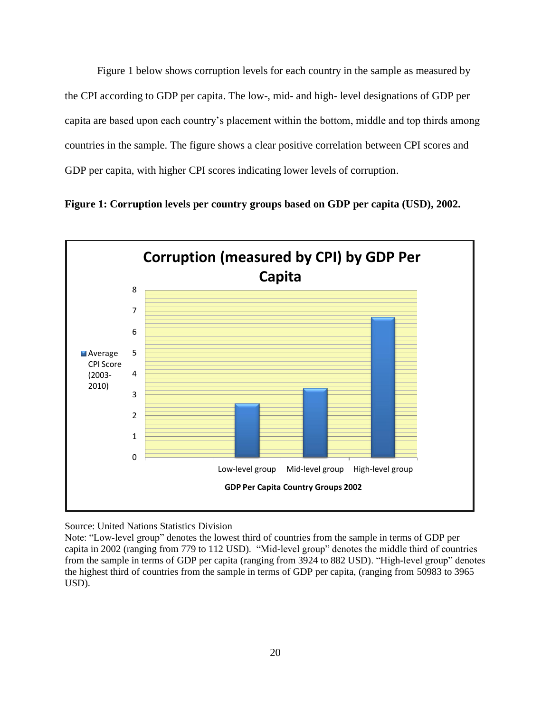Figure 1 below shows corruption levels for each country in the sample as measured by the CPI according to GDP per capita. The low-, mid- and high- level designations of GDP per capita are based upon each country's placement within the bottom, middle and top thirds among countries in the sample. The figure shows a clear positive correlation between CPI scores and GDP per capita, with higher CPI scores indicating lower levels of corruption.





Source: United Nations Statistics Division

Note: "Low-level group" denotes the lowest third of countries from the sample in terms of GDP per capita in 2002 (ranging from 779 to 112 USD). "Mid-level group" denotes the middle third of countries from the sample in terms of GDP per capita (ranging from 3924 to 882 USD). "High-level group" denotes the highest third of countries from the sample in terms of GDP per capita, (ranging from 50983 to 3965 USD).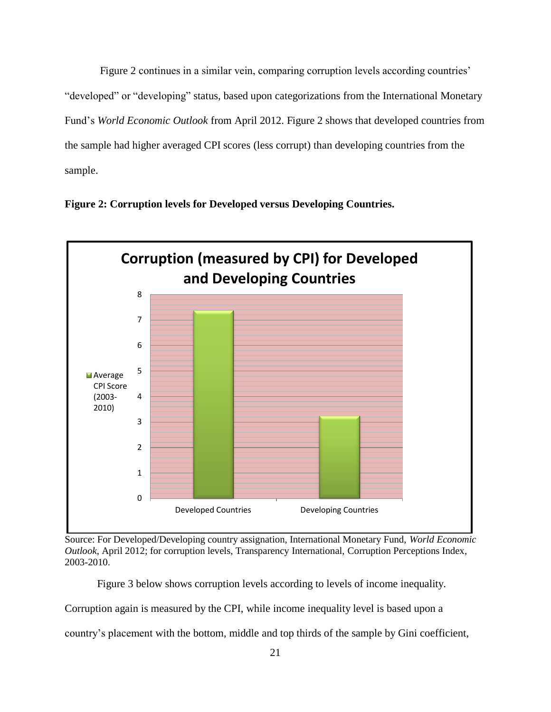Figure 2 continues in a similar vein, comparing corruption levels according countries' "developed" or "developing" status, based upon categorizations from the International Monetary Fund's *World Economic Outlook* from April 2012. Figure 2 shows that developed countries from the sample had higher averaged CPI scores (less corrupt) than developing countries from the sample.







Figure 3 below shows corruption levels according to levels of income inequality.

Corruption again is measured by the CPI, while income inequality level is based upon a

country's placement with the bottom, middle and top thirds of the sample by Gini coefficient,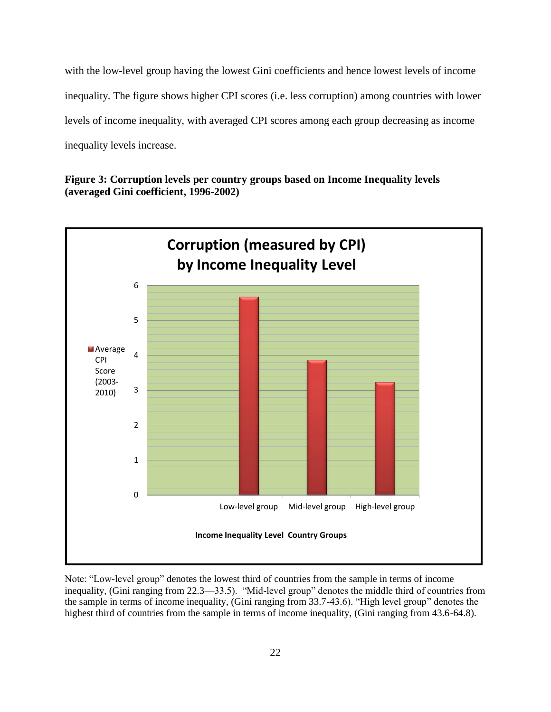with the low-level group having the lowest Gini coefficients and hence lowest levels of income inequality. The figure shows higher CPI scores (i.e. less corruption) among countries with lower levels of income inequality, with averaged CPI scores among each group decreasing as income inequality levels increase.

**Figure 3: Corruption levels per country groups based on Income Inequality levels (averaged Gini coefficient, 1996-2002)**



Note: "Low-level group" denotes the lowest third of countries from the sample in terms of income inequality, (Gini ranging from 22.3—33.5). "Mid-level group" denotes the middle third of countries from the sample in terms of income inequality, (Gini ranging from 33.7-43.6). "High level group" denotes the highest third of countries from the sample in terms of income inequality, (Gini ranging from 43.6-64.8).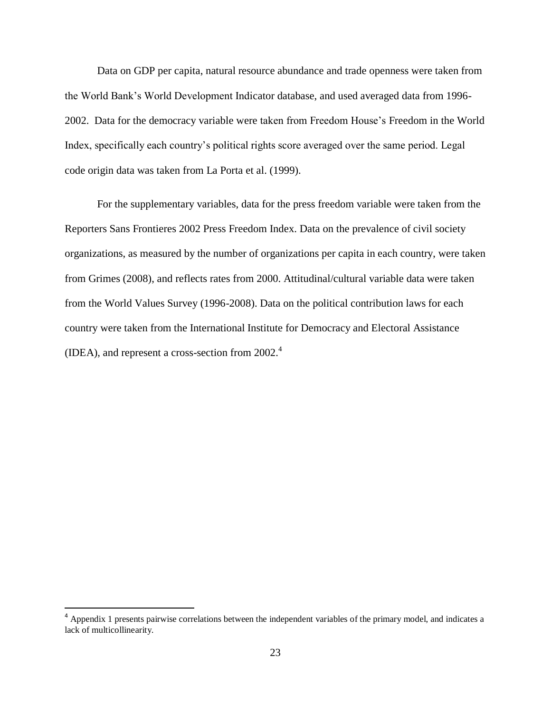Data on GDP per capita, natural resource abundance and trade openness were taken from the World Bank's World Development Indicator database, and used averaged data from 1996- 2002. Data for the democracy variable were taken from Freedom House's Freedom in the World Index, specifically each country's political rights score averaged over the same period. Legal code origin data was taken from La Porta et al. (1999).

For the supplementary variables, data for the press freedom variable were taken from the Reporters Sans Frontieres 2002 Press Freedom Index. Data on the prevalence of civil society organizations, as measured by the number of organizations per capita in each country, were taken from Grimes (2008), and reflects rates from 2000. Attitudinal/cultural variable data were taken from the World Values Survey (1996-2008). Data on the political contribution laws for each country were taken from the International Institute for Democracy and Electoral Assistance (IDEA), and represent a cross-section from 2002.<sup>4</sup>

 $\overline{a}$ 

<sup>&</sup>lt;sup>4</sup> Appendix 1 presents pairwise correlations between the independent variables of the primary model, and indicates a lack of multicollinearity.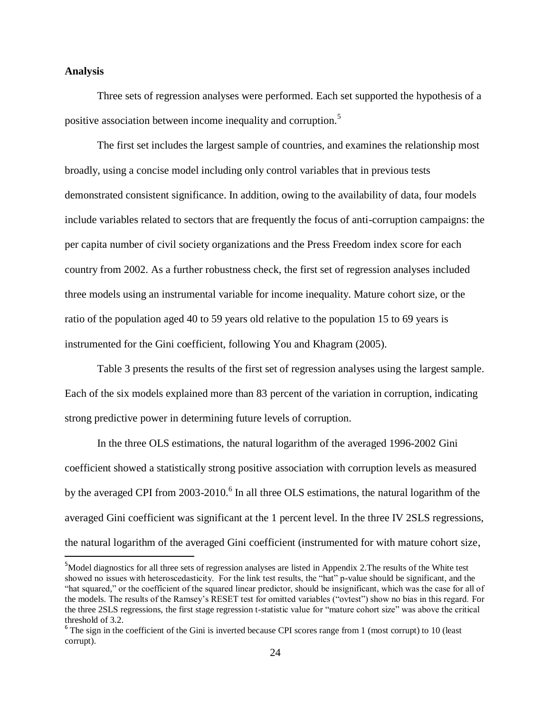#### **Analysis**

l

Three sets of regression analyses were performed. Each set supported the hypothesis of a positive association between income inequality and corruption.<sup>5</sup>

The first set includes the largest sample of countries, and examines the relationship most broadly, using a concise model including only control variables that in previous tests demonstrated consistent significance. In addition, owing to the availability of data, four models include variables related to sectors that are frequently the focus of anti-corruption campaigns: the per capita number of civil society organizations and the Press Freedom index score for each country from 2002. As a further robustness check, the first set of regression analyses included three models using an instrumental variable for income inequality. Mature cohort size, or the ratio of the population aged 40 to 59 years old relative to the population 15 to 69 years is instrumented for the Gini coefficient, following You and Khagram (2005).

Table 3 presents the results of the first set of regression analyses using the largest sample. Each of the six models explained more than 83 percent of the variation in corruption, indicating strong predictive power in determining future levels of corruption.

In the three OLS estimations, the natural logarithm of the averaged 1996-2002 Gini coefficient showed a statistically strong positive association with corruption levels as measured by the averaged CPI from 2003-2010.<sup>6</sup> In all three OLS estimations, the natural logarithm of the averaged Gini coefficient was significant at the 1 percent level. In the three IV 2SLS regressions, the natural logarithm of the averaged Gini coefficient (instrumented for with mature cohort size,

<sup>&</sup>lt;sup>5</sup>Model diagnostics for all three sets of regression analyses are listed in Appendix 2. The results of the White test showed no issues with heteroscedasticity. For the link test results, the "hat" p-value should be significant, and the "hat squared," or the coefficient of the squared linear predictor, should be insignificant, which was the case for all of the models. The results of the Ramsey's RESET test for omitted variables ("ovtest") show no bias in this regard. For the three 2SLS regressions, the first stage regression t-statistic value for "mature cohort size" was above the critical threshold of 3.2.

 $6$  The sign in the coefficient of the Gini is inverted because CPI scores range from 1 (most corrupt) to 10 (least corrupt).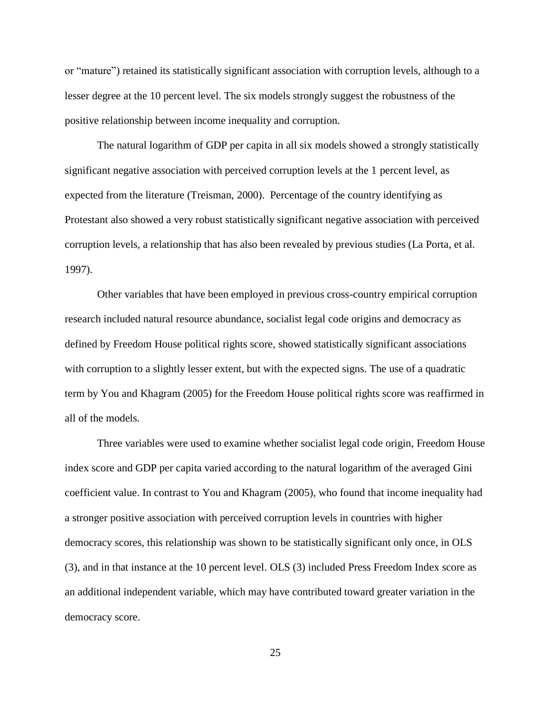or "mature") retained its statistically significant association with corruption levels, although to a lesser degree at the 10 percent level. The six models strongly suggest the robustness of the positive relationship between income inequality and corruption.

The natural logarithm of GDP per capita in all six models showed a strongly statistically significant negative association with perceived corruption levels at the 1 percent level, as expected from the literature (Treisman, 2000). Percentage of the country identifying as Protestant also showed a very robust statistically significant negative association with perceived corruption levels, a relationship that has also been revealed by previous studies (La Porta, et al. 1997).

Other variables that have been employed in previous cross-country empirical corruption research included natural resource abundance, socialist legal code origins and democracy as defined by Freedom House political rights score, showed statistically significant associations with corruption to a slightly lesser extent, but with the expected signs. The use of a quadratic term by You and Khagram (2005) for the Freedom House political rights score was reaffirmed in all of the models.

Three variables were used to examine whether socialist legal code origin, Freedom House index score and GDP per capita varied according to the natural logarithm of the averaged Gini coefficient value. In contrast to You and Khagram (2005), who found that income inequality had a stronger positive association with perceived corruption levels in countries with higher democracy scores, this relationship was shown to be statistically significant only once, in OLS (3), and in that instance at the 10 percent level. OLS (3) included Press Freedom Index score as an additional independent variable, which may have contributed toward greater variation in the democracy score.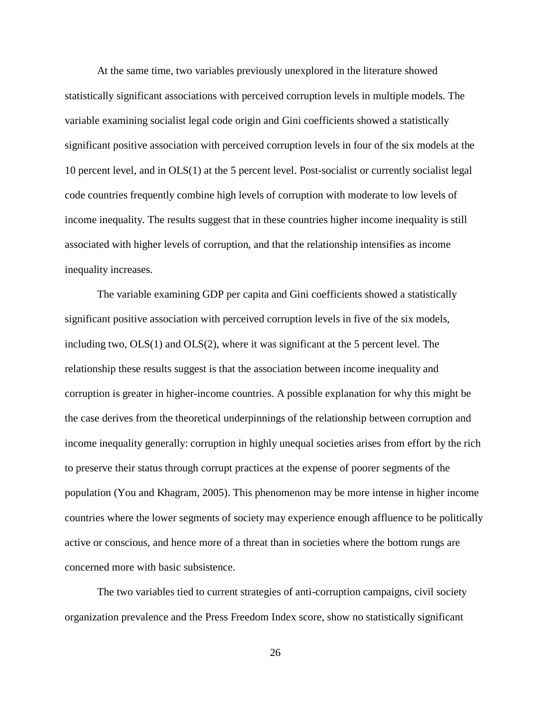At the same time, two variables previously unexplored in the literature showed statistically significant associations with perceived corruption levels in multiple models. The variable examining socialist legal code origin and Gini coefficients showed a statistically significant positive association with perceived corruption levels in four of the six models at the 10 percent level, and in OLS(1) at the 5 percent level. Post-socialist or currently socialist legal code countries frequently combine high levels of corruption with moderate to low levels of income inequality. The results suggest that in these countries higher income inequality is still associated with higher levels of corruption, and that the relationship intensifies as income inequality increases.

The variable examining GDP per capita and Gini coefficients showed a statistically significant positive association with perceived corruption levels in five of the six models, including two,  $OLS(1)$  and  $OLS(2)$ , where it was significant at the 5 percent level. The relationship these results suggest is that the association between income inequality and corruption is greater in higher-income countries. A possible explanation for why this might be the case derives from the theoretical underpinnings of the relationship between corruption and income inequality generally: corruption in highly unequal societies arises from effort by the rich to preserve their status through corrupt practices at the expense of poorer segments of the population (You and Khagram, 2005). This phenomenon may be more intense in higher income countries where the lower segments of society may experience enough affluence to be politically active or conscious, and hence more of a threat than in societies where the bottom rungs are concerned more with basic subsistence.

The two variables tied to current strategies of anti-corruption campaigns, civil society organization prevalence and the Press Freedom Index score, show no statistically significant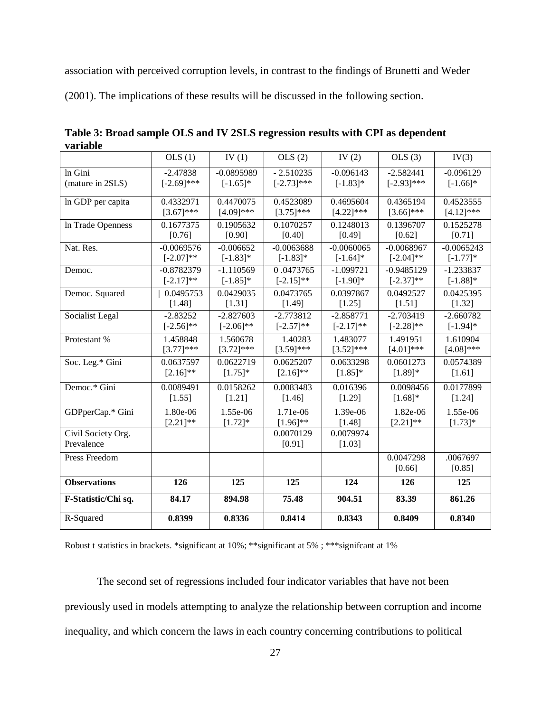association with perceived corruption levels, in contrast to the findings of Brunetti and Weder

(2001). The implications of these results will be discussed in the following section.

|                     | OLS(1)        | IV $(1)$        | OLS(2)           | IV $(2)$        | OLS(3)          | IV(3)        |
|---------------------|---------------|-----------------|------------------|-----------------|-----------------|--------------|
| In Gini             | $-2.47838$    | $-0.0895989$    | $-2.510235$      | $-0.096143$     | $-2.582441$     | $-0.096129$  |
| (mature in 2SLS)    | $[-2.69]$ *** | $[-1.65]$ *     | $[-2.73]$ ***    | $[-1.83]$ *     | $[-2.93]$ ***   | $[-1.66]$ *  |
| In GDP per capita   | 0.4332971     | 0.4470075       | 0.4523089        | 0.4695604       | 0.4365194       | 0.4523555    |
|                     | $[3.67]$ ***  | $[4.09]$ ***    | $[3.75]$ ***     | $[4.22]$ ***    | $[3.66]$ ***    | $[4.12]$ *** |
| In Trade Openness   | 0.1677375     | 0.1905632       | 0.1070257        | 0.1248013       | 0.1396707       | 0.1525278    |
|                     | [0.76]        | [0.90]          | [0.40]           | [0.49]          | [0.62]          | [0.71]       |
| Nat. Res.           | $-0.0069576$  | $-0.006652$     | $-0.0063688$     | $-0.0060065$    | $-0.0068967$    | $-0.0065243$ |
|                     | $[-2.07]**$   | $[-1.83]$ *     | $[-1.83]$ *      | $[-1.64]$ *     | $[-2.04]$ **    | $[-1.77]$ *  |
| Democ.              | $-0.8782379$  | $-1.110569$     | 0.0473765        | $-1.099721$     | $-0.9485129$    | $-1.233837$  |
|                     | $[-2.17]**$   | $[-1.85]$ *     | $[-2.15]$ **     | $[-1.90]$ *     | $[-2.37]$ **    | $[-1.88]$ *  |
| Democ. Squared      | 0.0495753     | 0.0429035       | 0.0473765        | 0.0397867       | 0.0492527       | 0.0425395    |
|                     | [1.48]        | [1.31]          | [1.49]           | [1.25]          | [1.51]          | [1.32]       |
| Socialist Legal     | $-2.83252$    | $-2.827603$     | $-2.773812$      | $-2.858771$     | $-2.703419$     | $-2.660782$  |
|                     | $[-2.56]$ **  | $[-2.06]$ **    | $[-2.57]**$      | $[-2.17]**$     | $[-2.28]$ **    | $[-1.94]$ *  |
| Protestant %        | 1.458848      | 1.560678        | 1.40283          | 1.483077        | 1.491951        | 1.610904     |
|                     | $[3.77]$ ***  | $[3.72]$ ***    | $[3.59]$ ***     | $[3.52]$ ***    | $[4.01]$ ***    | $[4.08]$ *** |
| Soc. Leg.* Gini     | 0.0637597     | 0.0622719       | 0.0625207        | 0.0633298       | 0.0601273       | 0.0574389    |
|                     | $[2.16]$ **   | $[1.75]$ *      | $[2.16]$ **      | $[1.85]$ *      | $[1.89]*$       | [1.61]       |
| Democ.* Gini        | 0.0089491     | 0.0158262       | 0.0083483        | 0.016396        | 0.0098456       | 0.0177899    |
|                     | [1.55]        | [1.21]          | [1.46]           | [1.29]          | $[1.68]$ *      | [1.24]       |
| GDPperCap.* Gini    | 1.80e-06      | 1.55e-06        | $1.71e-06$       | 1.39e-06        | 1.82e-06        | 1.55e-06     |
|                     | $[2.21]$ **   | $[1.72]$ *      | $[1.96]$ **      | [1.48]          | $[2.21]$ **     | $[1.73]$ *   |
| Civil Society Org.  |               |                 | 0.0070129        | 0.0079974       |                 |              |
| Prevalence          |               |                 | [0.91]           | [1.03]          |                 |              |
| Press Freedom       |               |                 |                  |                 | 0.0047298       | .0067697     |
|                     |               |                 |                  |                 | [0.66]          | [0.85]       |
| <b>Observations</b> | 126           | $\frac{125}{2}$ | $\overline{125}$ | $\frac{124}{x}$ | $\frac{126}{ }$ | 125          |
| F-Statistic/Chi sq. | 84.17         | 894.98          | 75.48            | 904.51          | 83.39           | 861.26       |
| R-Squared           | 0.8399        | 0.8336          | 0.8414           | 0.8343          | 0.8409          | 0.8340       |

**Table 3: Broad sample OLS and IV 2SLS regression results with CPI as dependent variable**

Robust t statistics in brackets. \*significant at 10%; \*\*significant at 5% ; \*\*\*signifcant at 1%

The second set of regressions included four indicator variables that have not been previously used in models attempting to analyze the relationship between corruption and income inequality, and which concern the laws in each country concerning contributions to political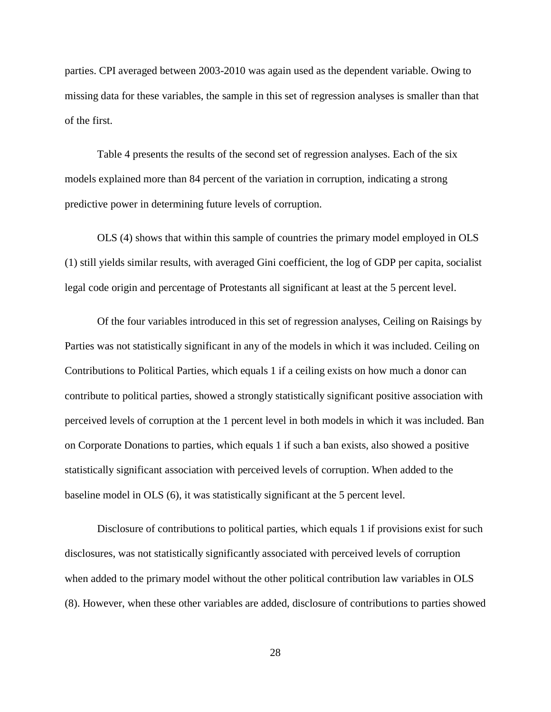parties. CPI averaged between 2003-2010 was again used as the dependent variable. Owing to missing data for these variables, the sample in this set of regression analyses is smaller than that of the first.

Table 4 presents the results of the second set of regression analyses. Each of the six models explained more than 84 percent of the variation in corruption, indicating a strong predictive power in determining future levels of corruption.

OLS (4) shows that within this sample of countries the primary model employed in OLS (1) still yields similar results, with averaged Gini coefficient, the log of GDP per capita, socialist legal code origin and percentage of Protestants all significant at least at the 5 percent level.

Of the four variables introduced in this set of regression analyses, Ceiling on Raisings by Parties was not statistically significant in any of the models in which it was included. Ceiling on Contributions to Political Parties, which equals 1 if a ceiling exists on how much a donor can contribute to political parties, showed a strongly statistically significant positive association with perceived levels of corruption at the 1 percent level in both models in which it was included. Ban on Corporate Donations to parties, which equals 1 if such a ban exists, also showed a positive statistically significant association with perceived levels of corruption. When added to the baseline model in OLS (6), it was statistically significant at the 5 percent level.

Disclosure of contributions to political parties, which equals 1 if provisions exist for such disclosures, was not statistically significantly associated with perceived levels of corruption when added to the primary model without the other political contribution law variables in OLS (8). However, when these other variables are added, disclosure of contributions to parties showed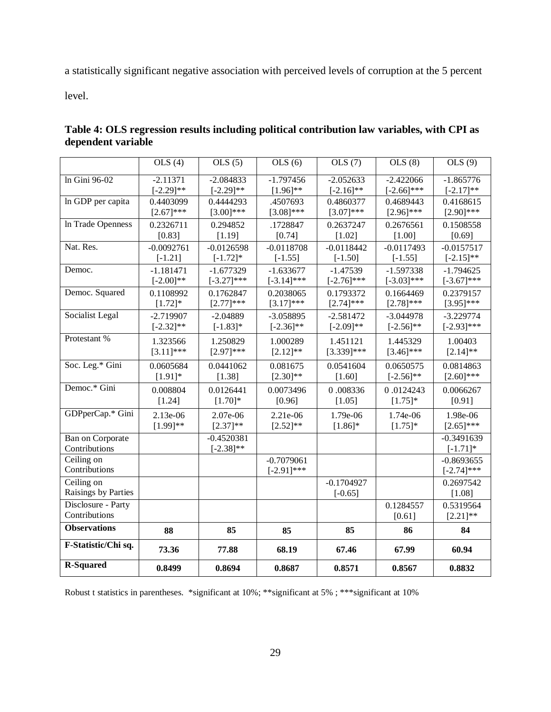a statistically significant negative association with perceived levels of corruption at the 5 percent

level.

| Table 4: OLS regression results including political contribution law variables, with CPI as |  |
|---------------------------------------------------------------------------------------------|--|
| dependent variable                                                                          |  |

|                                          | OLS(4)       | OLS(5)                       | $\overline{OLS}$ (6)          | OLS(7)                    | OLS(8)              | OLS(9)                        |
|------------------------------------------|--------------|------------------------------|-------------------------------|---------------------------|---------------------|-------------------------------|
| In Gini 96-02                            | $-2.11371$   | $-2.084833$                  | $-1.797456$                   | $-2.052633$               | $-2.422066$         | $-1.865776$                   |
|                                          | $[-2.29]$ ** | $[-2.29]$ **                 | $[1.96]$ **                   | $[-2.16]$ **              | $[-2.66]$ ***       | $[-2.17]**$                   |
| In GDP per capita                        | 0.4403099    | 0.4444293                    | .4507693                      | 0.4860377                 | 0.4689443           | 0.4168615                     |
|                                          | $[2.67]$ *** | $[3.00]$ ***                 | $[3.08]$ ***                  | $[3.07]$ ***              | $[2.96]$ ***        | $[2.90]$ ***                  |
| In Trade Openness                        | 0.2326711    | 0.294852                     | .1728847                      | 0.2637247                 | 0.2676561           | 0.1508558                     |
|                                          | [0.83]       | [1.19]                       | [0.74]                        | [1.02]                    | [1.00]              | [0.69]                        |
| Nat. Res.                                | $-0.0092761$ | $-0.0126598$                 | $-0.0118708$                  | $-0.0118442$              | $-0.0117493$        | $-0.0157517$                  |
|                                          | $[-1.21]$    | $[-1.72]*$                   | $[-1.55]$                     | $[-1.50]$                 | $[-1.55]$           | $[-2.15]$ **                  |
| Democ.                                   | $-1.181471$  | $-1.677329$                  | $-1.633677$                   | $-1.47539$                | $-1.597338$         | $-1.794625$                   |
|                                          | $[-2.00]**$  | $[-3.27]$ ***                | $[-3.14]$ ***                 | $[-2.76]$ ***             | $[-3.03]$ ***       | $[-3.67]$ ***                 |
| Democ. Squared                           | 0.1108992    | 0.1762847                    | 0.2038065                     | 0.1793372                 | 0.1664469           | 0.2379157                     |
|                                          | $[1.72]$ *   | $[2.77]$ ***                 | $[3.17]$ ***                  | $[2.74]$ ***              | $[2.78]$ ***        | $[3.95]$ ***                  |
| Socialist Legal                          | $-2.719907$  | $-2.04889$                   | -3.058895                     | $-2.581472$               | $-3.044978$         | $-3.229774$                   |
|                                          | $[-2.32]$ ** | $[-1.83]*$                   | $[-2.36]$ **                  | $[-2.09]**$               | $[-2.56]$ **        | $[-2.93]$ ***                 |
| Protestant %                             | 1.323566     | 1.250829                     | 1.000289                      | 1.451121                  | 1.445329            | 1.00403                       |
|                                          | $[3.11]$ *** | $[2.97]$ ***                 | $[2.12]$ **                   | $[3.339]$ ***             | $[3.46]$ ***        | $[2.14]$ **                   |
| Soc. Leg.* Gini                          | 0.0605684    | 0.0441062                    | 0.081675                      | 0.0541604                 | 0.0650575           | 0.0814863                     |
|                                          | $[1.91]$ *   | [1.38]                       | $[2.30]$ **                   | [1.60]                    | $[-2.56]$ **        | $[2.60]$ ***                  |
| Democ.* Gini                             | 0.008804     | 0.0126441                    | 0.0073496                     | 0.008336                  | 0.0124243           | 0.0066267                     |
|                                          | [1.24]       | $[1.70]$ *                   | [0.96]                        | [1.05]                    | $[1.75]$ *          | [0.91]                        |
| GDPperCap.* Gini                         | 2.13e-06     | 2.07e-06                     | 2.21e-06                      | 1.79e-06                  | 1.74e-06            | 1.98e-06                      |
|                                          | $[1.99]$ **  | $[2.37]^{**}$                | $[2.52]$ **                   | $[1.86]$ *                | $[1.75]$ *          | $[2.65]$ ***                  |
| <b>Ban on Corporate</b><br>Contributions |              | $-0.4520381$<br>$[-2.38]$ ** |                               |                           |                     | $-0.3491639$<br>$[-1.71]$ *   |
| Ceiling on<br>Contributions              |              |                              | $-0.7079061$<br>$[-2.91]$ *** |                           |                     | $-0.8693655$<br>$[-2.74]$ *** |
| Ceiling on<br>Raisings by Parties        |              |                              |                               | $-0.1704927$<br>$[-0.65]$ |                     | 0.2697542<br>[1.08]           |
| Disclosure - Party<br>Contributions      |              |                              |                               |                           | 0.1284557<br>[0.61] | 0.5319564<br>$[2.21]$ **      |
| <b>Observations</b>                      | 88           | 85                           | 85                            | 85                        | 86                  | 84                            |
| F-Statistic/Chi sq.                      | 73.36        | 77.88                        | 68.19                         | 67.46                     | 67.99               | 60.94                         |
| <b>R-Squared</b>                         | 0.8499       | 0.8694                       | 0.8687                        | 0.8571                    | 0.8567              | 0.8832                        |

Robust t statistics in parentheses. \*significant at 10%; \*\*significant at 5% ; \*\*\*significant at 10%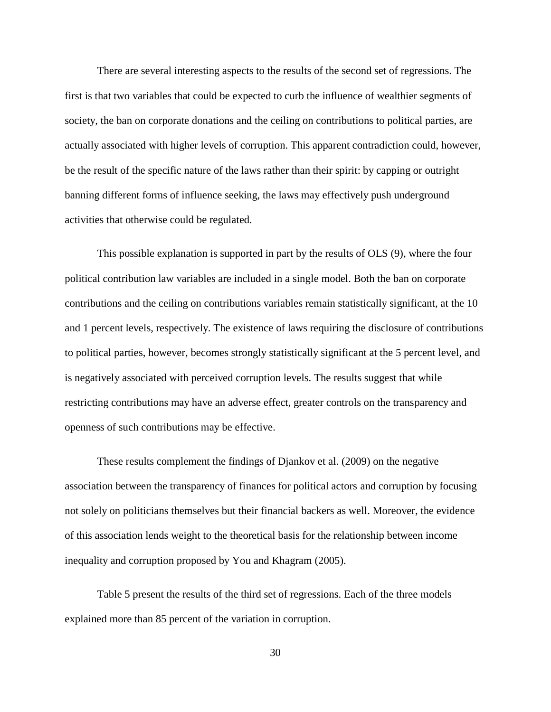There are several interesting aspects to the results of the second set of regressions. The first is that two variables that could be expected to curb the influence of wealthier segments of society, the ban on corporate donations and the ceiling on contributions to political parties, are actually associated with higher levels of corruption. This apparent contradiction could, however, be the result of the specific nature of the laws rather than their spirit: by capping or outright banning different forms of influence seeking, the laws may effectively push underground activities that otherwise could be regulated.

This possible explanation is supported in part by the results of OLS (9), where the four political contribution law variables are included in a single model. Both the ban on corporate contributions and the ceiling on contributions variables remain statistically significant, at the 10 and 1 percent levels, respectively. The existence of laws requiring the disclosure of contributions to political parties, however, becomes strongly statistically significant at the 5 percent level, and is negatively associated with perceived corruption levels. The results suggest that while restricting contributions may have an adverse effect, greater controls on the transparency and openness of such contributions may be effective.

These results complement the findings of Djankov et al. (2009) on the negative association between the transparency of finances for political actors and corruption by focusing not solely on politicians themselves but their financial backers as well. Moreover, the evidence of this association lends weight to the theoretical basis for the relationship between income inequality and corruption proposed by You and Khagram (2005).

Table 5 present the results of the third set of regressions. Each of the three models explained more than 85 percent of the variation in corruption.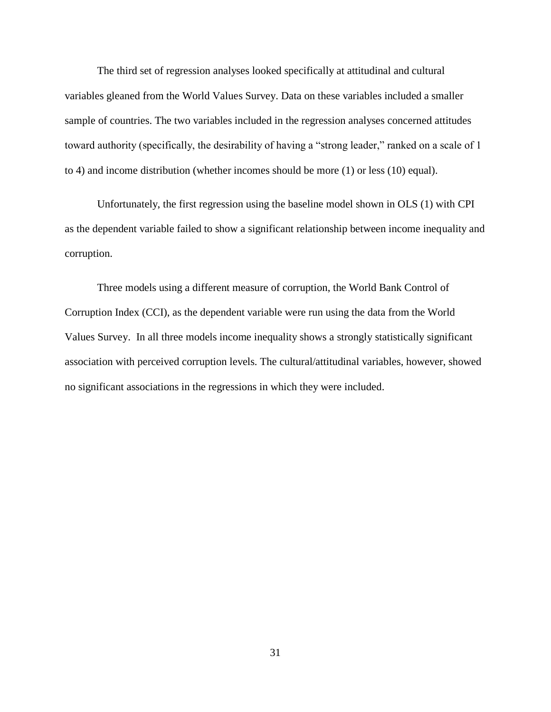The third set of regression analyses looked specifically at attitudinal and cultural variables gleaned from the World Values Survey. Data on these variables included a smaller sample of countries. The two variables included in the regression analyses concerned attitudes toward authority (specifically, the desirability of having a "strong leader," ranked on a scale of 1 to 4) and income distribution (whether incomes should be more (1) or less (10) equal).

Unfortunately, the first regression using the baseline model shown in OLS (1) with CPI as the dependent variable failed to show a significant relationship between income inequality and corruption.

Three models using a different measure of corruption, the World Bank Control of Corruption Index (CCI), as the dependent variable were run using the data from the World Values Survey. In all three models income inequality shows a strongly statistically significant association with perceived corruption levels. The cultural/attitudinal variables, however, showed no significant associations in the regressions in which they were included.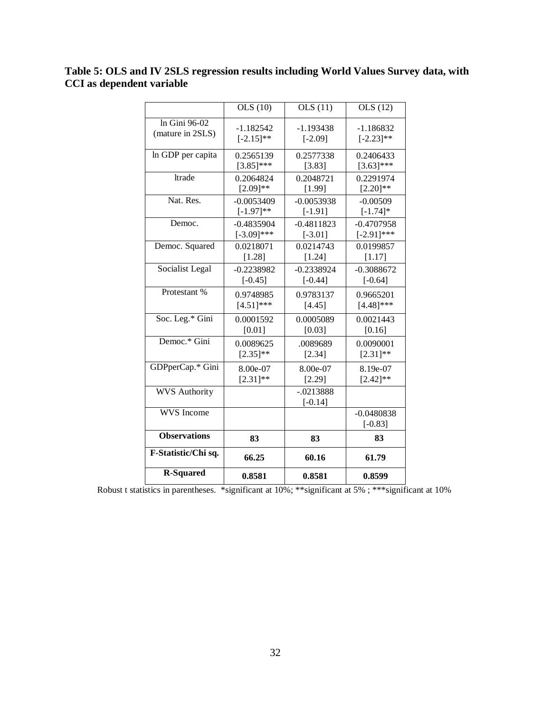| Table 5: OLS and IV 2SLS regression results including World Values Survey data, with |  |  |  |
|--------------------------------------------------------------------------------------|--|--|--|
| CCI as dependent variable                                                            |  |  |  |

|                      | OLS (10)      | OLS(11)      | OLS (12)      |
|----------------------|---------------|--------------|---------------|
| In Gini 96-02        | $-1.182542$   | -1.193438    | $-1.186832$   |
| (mature in 2SLS)     | $[-2.15]$ **  | $[-2.09]$    | $[-2.23]$ **  |
| In GDP per capita    | 0.2565139     | 0.2577338    | 0.2406433     |
|                      | $[3.85]$ ***  | [3.83]       | $[3.63]$ ***  |
| ltrade               | 0.2064824     | 0.2048721    | 0.2291974     |
|                      | $[2.09]**$    | [1.99]       | $[2.20]$ **   |
| Nat. Res.            | $-0.0053409$  | $-0.0053938$ | $-0.00509$    |
|                      | $[-1.97]$ **  | $[-1.91]$    | $[-1.74]$ *   |
| Democ.               | $-0.4835904$  | $-0.4811823$ | $-0.4707958$  |
|                      | $[-3.09]$ *** | $[-3.01]$    | $[-2.91]$ *** |
| Democ. Squared       | 0.0218071     | 0.0214743    | 0.0199857     |
|                      | [1.28]        | $[1.24]$     | [1.17]        |
| Socialist Legal      | $-0.2238982$  | $-0.2338924$ | $-0.3088672$  |
|                      | $[-0.45]$     | $[-0.44]$    | $[-0.64]$     |
| Protestant %         | 0.9748985     | 0.9783137    | 0.9665201     |
|                      | $[4.51]$ ***  | [4.45]       | $[4.48]$ ***  |
| Soc. Leg.* Gini      | 0.0001592     | 0.0005089    | 0.0021443     |
|                      | [0.01]        | [0.03]       | [0.16]        |
| Democ.* Gini         | 0.0089625     | .0089689     | 0.0090001     |
|                      | $[2.35]^{**}$ | [2.34]       | $[2.31]$ **   |
| GDPperCap.* Gini     | 8.00e-07      | 8.00e-07     | 8.19e-07      |
|                      | $[2.31]$ **   | [2.29]       | $[2.42]$ **   |
| <b>WVS Authority</b> |               | $-.0213888$  |               |
|                      |               | $[-0.14]$    |               |
| <b>WVS</b> Income    |               |              | $-0.0480838$  |
|                      |               |              | $[-0.83]$     |
| <b>Observations</b>  | 83            | 83           | 83            |
| F-Statistic/Chi sq.  | 66.25         | 60.16        | 61.79         |
| <b>R-Squared</b>     | 0.8581        | 0.8581       | 0.8599        |

Robust t statistics in parentheses. \*significant at 10%; \*\*significant at 5%; \*\*\*significant at 10%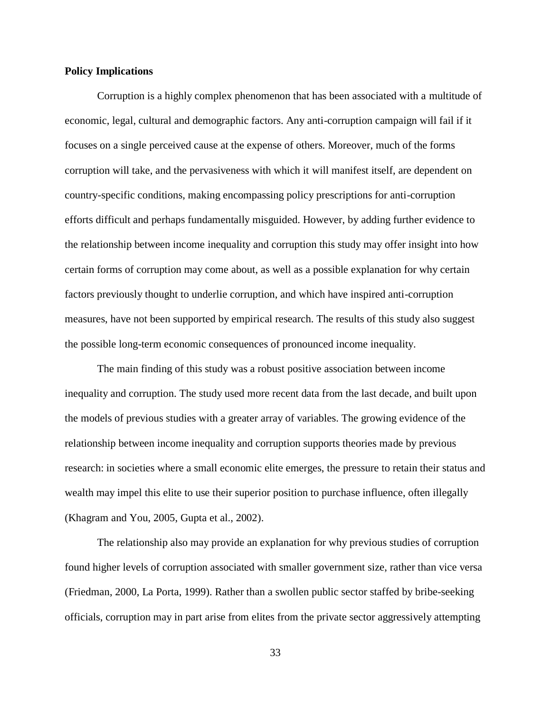#### **Policy Implications**

Corruption is a highly complex phenomenon that has been associated with a multitude of economic, legal, cultural and demographic factors. Any anti-corruption campaign will fail if it focuses on a single perceived cause at the expense of others. Moreover, much of the forms corruption will take, and the pervasiveness with which it will manifest itself, are dependent on country-specific conditions, making encompassing policy prescriptions for anti-corruption efforts difficult and perhaps fundamentally misguided. However, by adding further evidence to the relationship between income inequality and corruption this study may offer insight into how certain forms of corruption may come about, as well as a possible explanation for why certain factors previously thought to underlie corruption, and which have inspired anti-corruption measures, have not been supported by empirical research. The results of this study also suggest the possible long-term economic consequences of pronounced income inequality.

The main finding of this study was a robust positive association between income inequality and corruption. The study used more recent data from the last decade, and built upon the models of previous studies with a greater array of variables. The growing evidence of the relationship between income inequality and corruption supports theories made by previous research: in societies where a small economic elite emerges, the pressure to retain their status and wealth may impel this elite to use their superior position to purchase influence, often illegally (Khagram and You, 2005, Gupta et al., 2002).

The relationship also may provide an explanation for why previous studies of corruption found higher levels of corruption associated with smaller government size, rather than vice versa (Friedman, 2000, La Porta, 1999). Rather than a swollen public sector staffed by bribe-seeking officials, corruption may in part arise from elites from the private sector aggressively attempting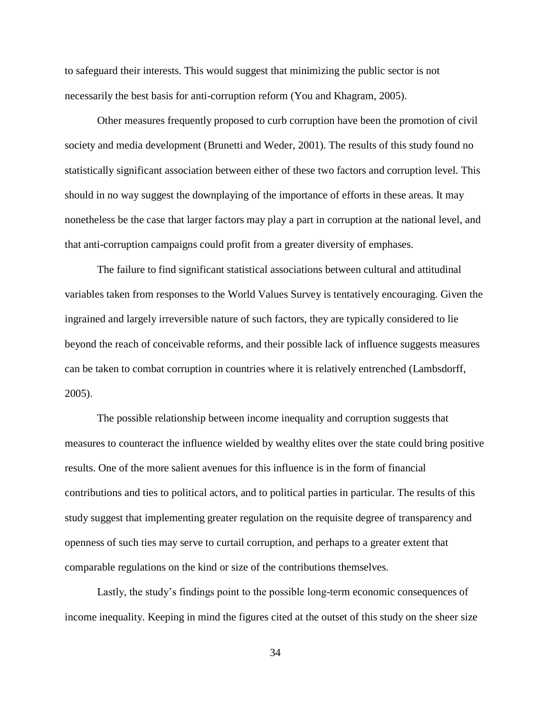to safeguard their interests. This would suggest that minimizing the public sector is not necessarily the best basis for anti-corruption reform (You and Khagram, 2005).

Other measures frequently proposed to curb corruption have been the promotion of civil society and media development (Brunetti and Weder, 2001). The results of this study found no statistically significant association between either of these two factors and corruption level. This should in no way suggest the downplaying of the importance of efforts in these areas. It may nonetheless be the case that larger factors may play a part in corruption at the national level, and that anti-corruption campaigns could profit from a greater diversity of emphases.

The failure to find significant statistical associations between cultural and attitudinal variables taken from responses to the World Values Survey is tentatively encouraging. Given the ingrained and largely irreversible nature of such factors, they are typically considered to lie beyond the reach of conceivable reforms, and their possible lack of influence suggests measures can be taken to combat corruption in countries where it is relatively entrenched (Lambsdorff, 2005).

The possible relationship between income inequality and corruption suggests that measures to counteract the influence wielded by wealthy elites over the state could bring positive results. One of the more salient avenues for this influence is in the form of financial contributions and ties to political actors, and to political parties in particular. The results of this study suggest that implementing greater regulation on the requisite degree of transparency and openness of such ties may serve to curtail corruption, and perhaps to a greater extent that comparable regulations on the kind or size of the contributions themselves.

Lastly, the study's findings point to the possible long-term economic consequences of income inequality. Keeping in mind the figures cited at the outset of this study on the sheer size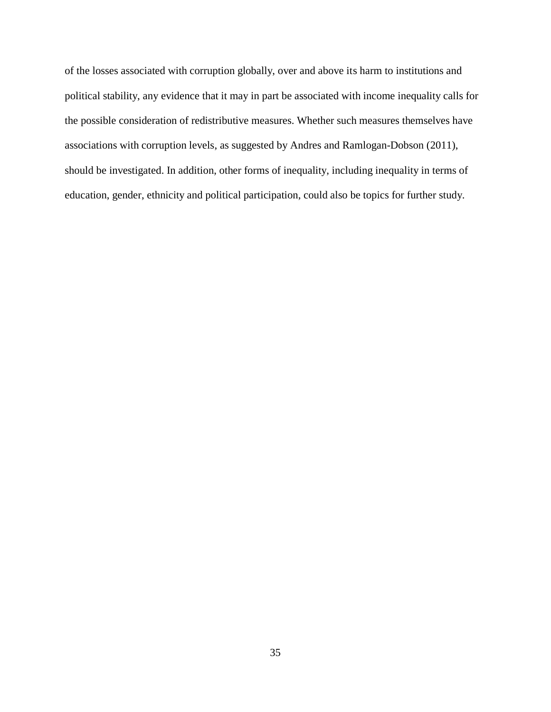of the losses associated with corruption globally, over and above its harm to institutions and political stability, any evidence that it may in part be associated with income inequality calls for the possible consideration of redistributive measures. Whether such measures themselves have associations with corruption levels, as suggested by Andres and Ramlogan-Dobson (2011), should be investigated. In addition, other forms of inequality, including inequality in terms of education, gender, ethnicity and political participation, could also be topics for further study.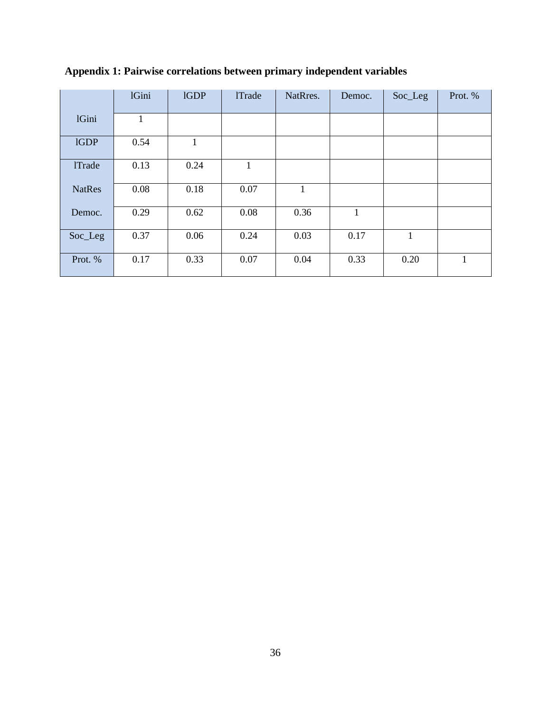|               | 1Gini | <b>IGDP</b> | <b>1Trade</b> | NatRres. | Democ. | Soc_Leg | Prot. % |
|---------------|-------|-------------|---------------|----------|--------|---------|---------|
| 1Gini         | 1     |             |               |          |        |         |         |
| <b>IGDP</b>   | 0.54  | л.          |               |          |        |         |         |
| <b>1Trade</b> | 0.13  | 0.24        | 1             |          |        |         |         |
| <b>NatRes</b> | 0.08  | 0.18        | 0.07          | 1        |        |         |         |
| Democ.        | 0.29  | 0.62        | 0.08          | 0.36     | 1      |         |         |
| Soc_Leg       | 0.37  | 0.06        | 0.24          | 0.03     | 0.17   | 1       |         |
| Prot. %       | 0.17  | 0.33        | 0.07          | 0.04     | 0.33   | 0.20    |         |

# **Appendix 1: Pairwise correlations between primary independent variables**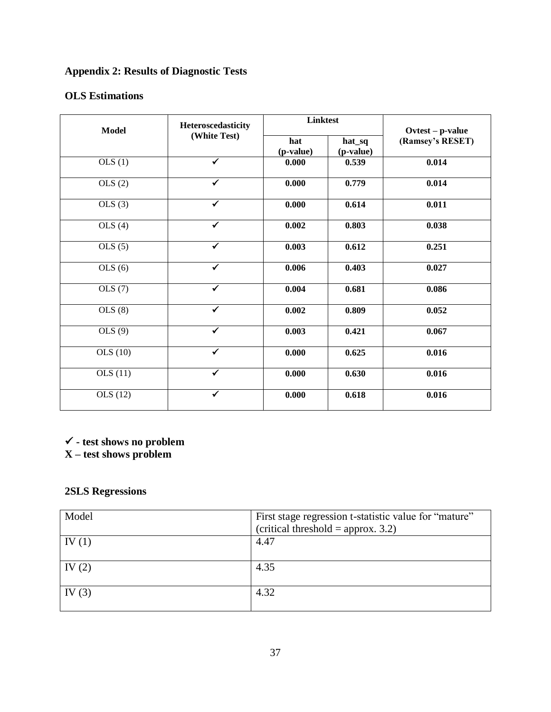# **Appendix 2: Results of Diagnostic Tests**

### **OLS Estimations**

| <b>Model</b> | Heteroscedasticity<br>(White Test) | <b>Linktest</b>  |                     | Ovtest – p-value |
|--------------|------------------------------------|------------------|---------------------|------------------|
|              |                                    | hat<br>(p-value) | hat_sq<br>(p-value) | (Ramsey's RESET) |
| OLS(1)       | ✓                                  | 0.000            | 0.539               | 0.014            |
| OLS(2)       | ✓                                  | 0.000            | 0.779               | 0.014            |
| OLS(3)       | $\checkmark$                       | 0.000            | 0.614               | 0.011            |
| OLS(4)       | $\checkmark$                       | 0.002            | 0.803               | 0.038            |
| OLS(5)       | ✓                                  | 0.003            | 0.612               | 0.251            |
| OLS(6)       | $\checkmark$                       | 0.006            | 0.403               | 0.027            |
| OLS(7)       | $\checkmark$                       | 0.004            | 0.681               | 0.086            |
| OLS(8)       | $\checkmark$                       | 0.002            | 0.809               | 0.052            |
| OLS(9)       | $\checkmark$                       | 0.003            | 0.421               | 0.067            |
| OLS(10)      | $\checkmark$                       | 0.000            | 0.625               | 0.016            |
| OLS(11)      | $\checkmark$                       | 0.000            | 0.630               | 0.016            |
| OLS (12)     | $\checkmark$                       | 0.000            | 0.618               | 0.016            |

**- test shows no problem**

**X – test shows problem**

# **2SLS Regressions**

| Model    | First stage regression t-statistic value for "mature"<br>(critical threshold = approx. 3.2) |  |
|----------|---------------------------------------------------------------------------------------------|--|
| IV $(1)$ | 4.47                                                                                        |  |
| IV $(2)$ | 4.35                                                                                        |  |
| IV $(3)$ | 4.32                                                                                        |  |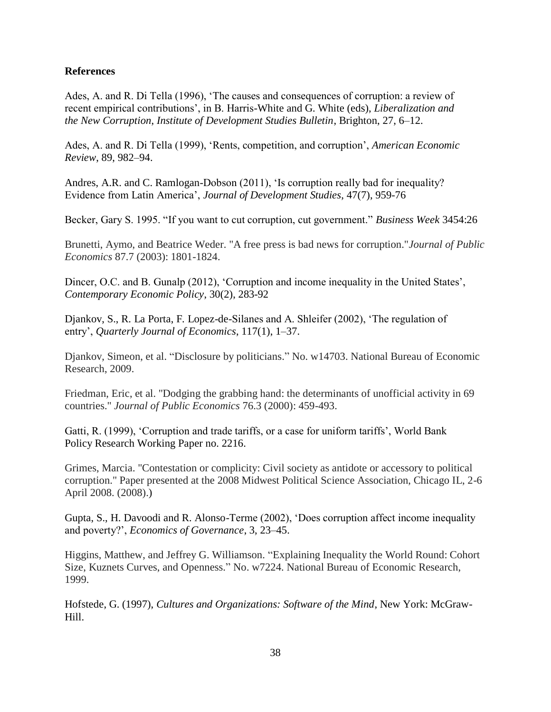#### **References**

Ades, A. and R. Di Tella (1996), 'The causes and consequences of corruption: a review of recent empirical contributions', in B. Harris-White and G. White (eds), *Liberalization and the New Corruption*, *Institute of Development Studies Bulletin*, Brighton, 27, 6–12.

Ades, A. and R. Di Tella (1999), 'Rents, competition, and corruption', *American Economic Review*, 89, 982–94.

Andres, A.R. and C. Ramlogan-Dobson (2011), 'Is corruption really bad for inequality? Evidence from Latin America', *Journal of Development Studies*, 47(7), 959-76

Becker, Gary S. 1995. "If you want to cut corruption, cut government." *Business Week* 3454:26

Brunetti, Aymo, and Beatrice Weder. "A free press is bad news for corruption."*Journal of Public Economics* 87.7 (2003): 1801-1824.

Dincer, O.C. and B. Gunalp (2012), 'Corruption and income inequality in the United States', *Contemporary Economic Policy*, 30(2), 283-92

Djankov, S., R. La Porta, F. Lopez-de-Silanes and A. Shleifer (2002), 'The regulation of entry', *Quarterly Journal of Economics*, 117(1), 1–37.

Djankov, Simeon, et al. "Disclosure by politicians." No. w14703. National Bureau of Economic Research, 2009.

Friedman, Eric, et al. "Dodging the grabbing hand: the determinants of unofficial activity in 69 countries." *Journal of Public Economics* 76.3 (2000): 459-493.

Gatti, R. (1999), 'Corruption and trade tariffs, or a case for uniform tariffs', World Bank Policy Research Working Paper no. 2216.

Grimes, Marcia. "Contestation or complicity: Civil society as antidote or accessory to political corruption." Paper presented at the 2008 Midwest Political Science Association, Chicago IL, 2-6 April 2008. (2008).)

Gupta, S., H. Davoodi and R. Alonso-Terme (2002), 'Does corruption affect income inequality and poverty?', *Economics of Governance*, 3, 23–45.

Higgins, Matthew, and Jeffrey G. Williamson. "Explaining Inequality the World Round: Cohort Size, Kuznets Curves, and Openness." No. w7224. National Bureau of Economic Research, 1999.

Hofstede, G. (1997), *Cultures and Organizations: Software of the Mind*, New York: McGraw-Hill.